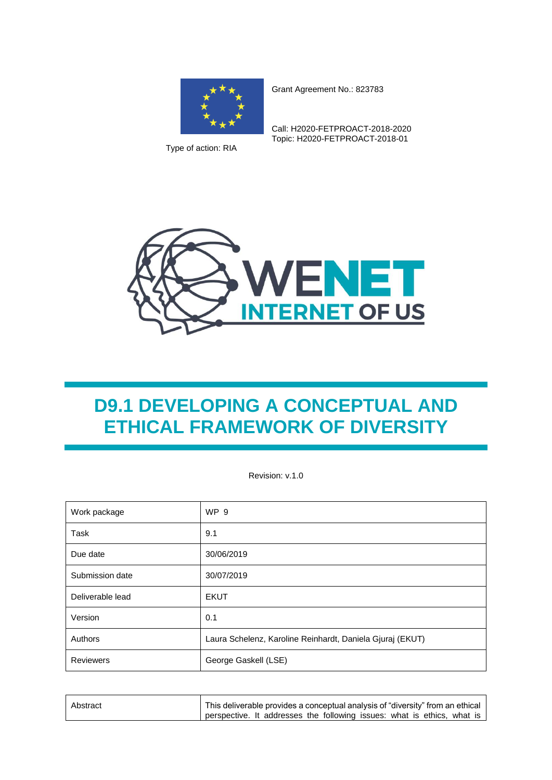

Type of action: RIA

Grant Agreement No.: 823783

Call: H2020-FETPROACT-2018-2020 Topic: H2020-FETPROACT-2018-01



# **D9.1 DEVELOPING A CONCEPTUAL AND ETHICAL FRAMEWORK OF DIVERSITY**

Revision: v.1.0

| Work package     | <b>WP 9</b>                                               |  |
|------------------|-----------------------------------------------------------|--|
| Task             | 9.1                                                       |  |
| Due date         | 30/06/2019                                                |  |
| Submission date  | 30/07/2019                                                |  |
| Deliverable lead | <b>EKUT</b>                                               |  |
| Version          | 0.1                                                       |  |
| Authors          | Laura Schelenz, Karoline Reinhardt, Daniela Gjuraj (EKUT) |  |
| Reviewers        | George Gaskell (LSE)                                      |  |

| Abstract | This deliverable provides a conceptual analysis of "diversity" from an ethical |
|----------|--------------------------------------------------------------------------------|
|          | perspective. It addresses the following issues: what is ethics, what is        |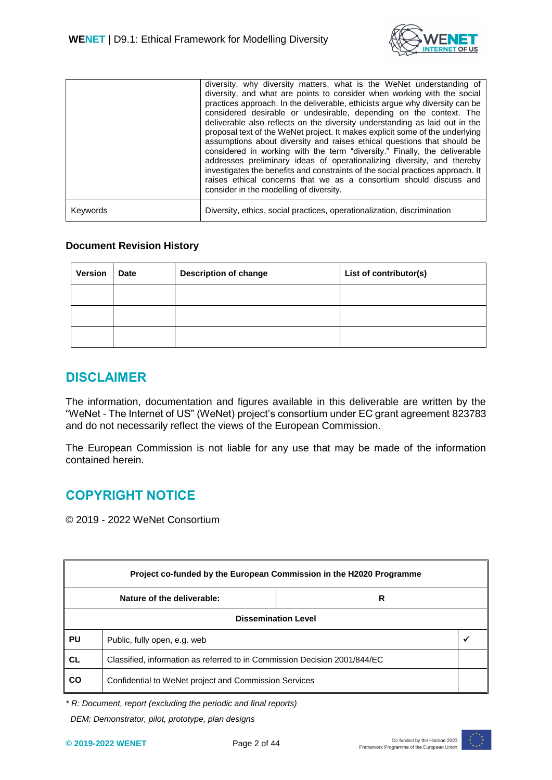

|          | diversity, why diversity matters, what is the WeNet understanding of<br>diversity, and what are points to consider when working with the social<br>practices approach. In the deliverable, ethicists argue why diversity can be<br>considered desirable or undesirable, depending on the context. The<br>deliverable also reflects on the diversity understanding as laid out in the<br>proposal text of the WeNet project. It makes explicit some of the underlying<br>assumptions about diversity and raises ethical questions that should be<br>considered in working with the term "diversity." Finally, the deliverable<br>addresses preliminary ideas of operationalizing diversity, and thereby<br>investigates the benefits and constraints of the social practices approach. It<br>raises ethical concerns that we as a consortium should discuss and<br>consider in the modelling of diversity. |
|----------|-----------------------------------------------------------------------------------------------------------------------------------------------------------------------------------------------------------------------------------------------------------------------------------------------------------------------------------------------------------------------------------------------------------------------------------------------------------------------------------------------------------------------------------------------------------------------------------------------------------------------------------------------------------------------------------------------------------------------------------------------------------------------------------------------------------------------------------------------------------------------------------------------------------|
| Keywords | Diversity, ethics, social practices, operationalization, discrimination                                                                                                                                                                                                                                                                                                                                                                                                                                                                                                                                                                                                                                                                                                                                                                                                                                   |

#### **Document Revision History**

| <b>Version</b> | <b>Date</b> | <b>Description of change</b> | List of contributor(s) |
|----------------|-------------|------------------------------|------------------------|
|                |             |                              |                        |
|                |             |                              |                        |
|                |             |                              |                        |

#### <span id="page-1-0"></span>**DISCLAIMER**

The information, documentation and figures available in this deliverable are written by the "WeNet - The Internet of US" (WeNet) project's consortium under EC grant agreement 823783 and do not necessarily reflect the views of the European Commission.

The European Commission is not liable for any use that may be made of the information contained herein.

# <span id="page-1-1"></span>**COPYRIGHT NOTICE**

© 2019 - 2022 WeNet Consortium

| Project co-funded by the European Commission in the H2020 Programme |                                                                           |  |  |
|---------------------------------------------------------------------|---------------------------------------------------------------------------|--|--|
| Nature of the deliverable:<br>R                                     |                                                                           |  |  |
| <b>Dissemination Level</b>                                          |                                                                           |  |  |
| <b>PU</b>                                                           | Public, fully open, e.g. web                                              |  |  |
| <b>CL</b>                                                           | Classified, information as referred to in Commission Decision 2001/844/EC |  |  |
| CO                                                                  | Confidential to WeNet project and Commission Services                     |  |  |

*\* R: Document, report (excluding the periodic and final reports)*

 *DEM: Demonstrator, pilot, prototype, plan designs* 

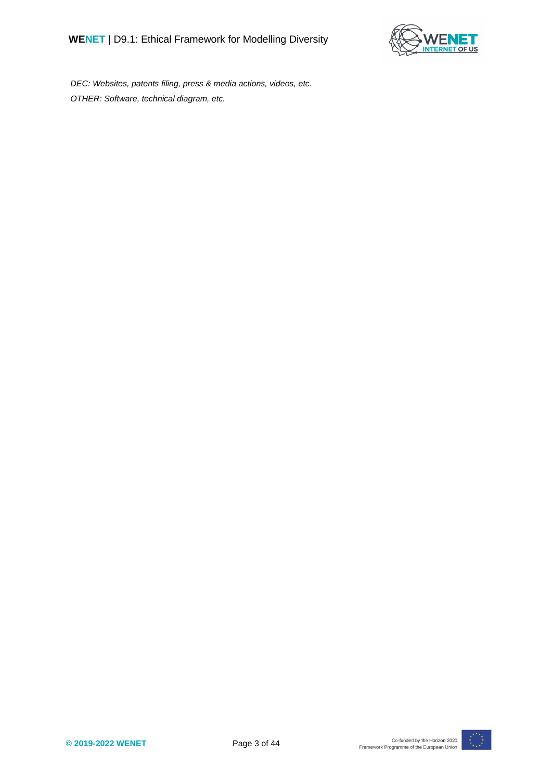

 *DEC: Websites, patents filing, press & media actions, videos, etc. OTHER: Software, technical diagram, etc.*

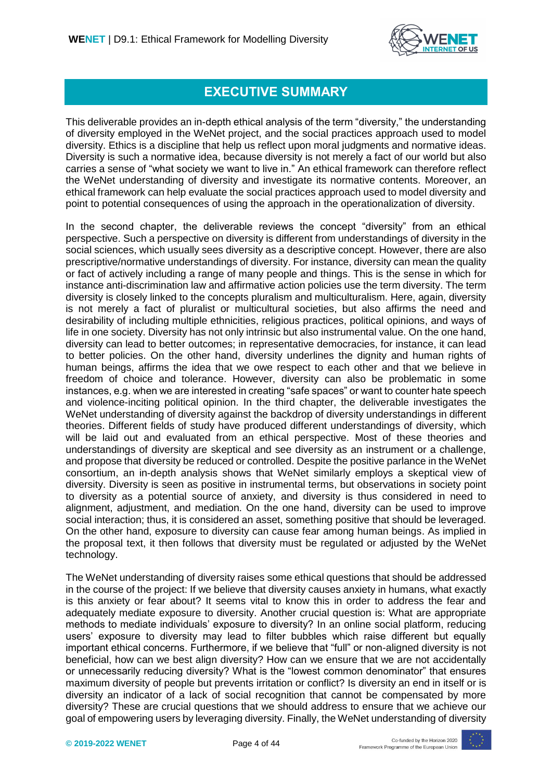

### **EXECUTIVE SUMMARY**

This deliverable provides an in-depth ethical analysis of the term "diversity," the understanding of diversity employed in the WeNet project, and the social practices approach used to model diversity. Ethics is a discipline that help us reflect upon moral judgments and normative ideas. Diversity is such a normative idea, because diversity is not merely a fact of our world but also carries a sense of "what society we want to live in." An ethical framework can therefore reflect the WeNet understanding of diversity and investigate its normative contents. Moreover, an ethical framework can help evaluate the social practices approach used to model diversity and point to potential consequences of using the approach in the operationalization of diversity.

In the second chapter, the deliverable reviews the concept "diversity" from an ethical perspective. Such a perspective on diversity is different from understandings of diversity in the social sciences, which usually sees diversity as a descriptive concept. However, there are also prescriptive/normative understandings of diversity. For instance, diversity can mean the quality or fact of actively including a range of many people and things. This is the sense in which for instance anti-discrimination law and affirmative action policies use the term diversity. The term diversity is closely linked to the concepts pluralism and multiculturalism. Here, again, diversity is not merely a fact of pluralist or multicultural societies, but also affirms the need and desirability of including multiple ethnicities, religious practices, political opinions, and ways of life in one society. Diversity has not only intrinsic but also instrumental value. On the one hand, diversity can lead to better outcomes; in representative democracies, for instance, it can lead to better policies. On the other hand, diversity underlines the dignity and human rights of human beings, affirms the idea that we owe respect to each other and that we believe in freedom of choice and tolerance. However, diversity can also be problematic in some instances, e.g. when we are interested in creating "safe spaces" or want to counter hate speech and violence-inciting political opinion. In the third chapter, the deliverable investigates the WeNet understanding of diversity against the backdrop of diversity understandings in different theories. Different fields of study have produced different understandings of diversity, which will be laid out and evaluated from an ethical perspective. Most of these theories and understandings of diversity are skeptical and see diversity as an instrument or a challenge, and propose that diversity be reduced or controlled. Despite the positive parlance in the WeNet consortium, an in-depth analysis shows that WeNet similarly employs a skeptical view of diversity. Diversity is seen as positive in instrumental terms, but observations in society point to diversity as a potential source of anxiety, and diversity is thus considered in need to alignment, adjustment, and mediation. On the one hand, diversity can be used to improve social interaction; thus, it is considered an asset, something positive that should be leveraged. On the other hand, exposure to diversity can cause fear among human beings. As implied in the proposal text, it then follows that diversity must be regulated or adjusted by the WeNet technology.

The WeNet understanding of diversity raises some ethical questions that should be addressed in the course of the project: If we believe that diversity causes anxiety in humans, what exactly is this anxiety or fear about? It seems vital to know this in order to address the fear and adequately mediate exposure to diversity. Another crucial question is: What are appropriate methods to mediate individuals' exposure to diversity? In an online social platform, reducing users' exposure to diversity may lead to filter bubbles which raise different but equally important ethical concerns. Furthermore, if we believe that "full" or non-aligned diversity is not beneficial, how can we best align diversity? How can we ensure that we are not accidentally or unnecessarily reducing diversity? What is the "lowest common denominator" that ensures maximum diversity of people but prevents irritation or conflict? Is diversity an end in itself or is diversity an indicator of a lack of social recognition that cannot be compensated by more diversity? These are crucial questions that we should address to ensure that we achieve our goal of empowering users by leveraging diversity. Finally, the WeNet understanding of diversity

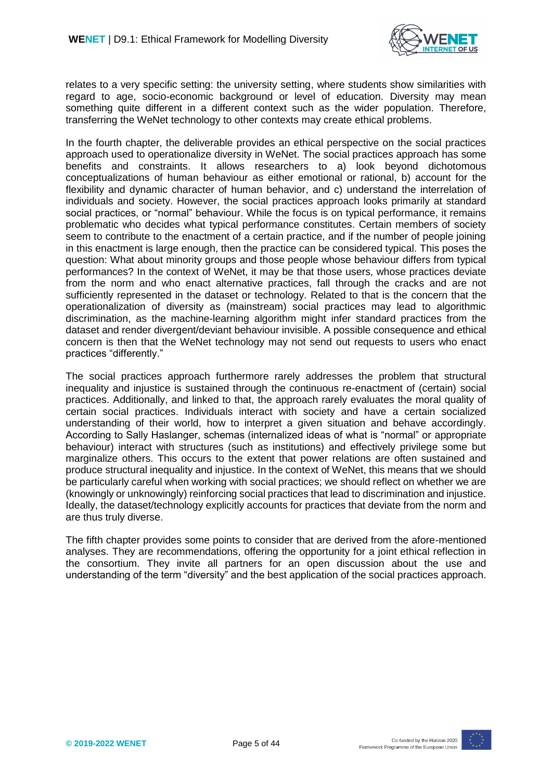

relates to a very specific setting: the university setting, where students show similarities with regard to age, socio-economic background or level of education. Diversity may mean something quite different in a different context such as the wider population. Therefore, transferring the WeNet technology to other contexts may create ethical problems.

In the fourth chapter, the deliverable provides an ethical perspective on the social practices approach used to operationalize diversity in WeNet. The social practices approach has some benefits and constraints. It allows researchers to a) look beyond dichotomous conceptualizations of human behaviour as either emotional or rational, b) account for the flexibility and dynamic character of human behavior, and c) understand the interrelation of individuals and society. However, the social practices approach looks primarily at standard social practices, or "normal" behaviour. While the focus is on typical performance, it remains problematic who decides what typical performance constitutes. Certain members of society seem to contribute to the enactment of a certain practice, and if the number of people joining in this enactment is large enough, then the practice can be considered typical. This poses the question: What about minority groups and those people whose behaviour differs from typical performances? In the context of WeNet, it may be that those users, whose practices deviate from the norm and who enact alternative practices, fall through the cracks and are not sufficiently represented in the dataset or technology. Related to that is the concern that the operationalization of diversity as (mainstream) social practices may lead to algorithmic discrimination, as the machine-learning algorithm might infer standard practices from the dataset and render divergent/deviant behaviour invisible. A possible consequence and ethical concern is then that the WeNet technology may not send out requests to users who enact practices "differently."

The social practices approach furthermore rarely addresses the problem that structural inequality and injustice is sustained through the continuous re-enactment of (certain) social practices. Additionally, and linked to that, the approach rarely evaluates the moral quality of certain social practices. Individuals interact with society and have a certain socialized understanding of their world, how to interpret a given situation and behave accordingly. According to Sally Haslanger, schemas (internalized ideas of what is "normal" or appropriate behaviour) interact with structures (such as institutions) and effectively privilege some but marginalize others. This occurs to the extent that power relations are often sustained and produce structural inequality and injustice. In the context of WeNet, this means that we should be particularly careful when working with social practices; we should reflect on whether we are (knowingly or unknowingly) reinforcing social practices that lead to discrimination and injustice. Ideally, the dataset/technology explicitly accounts for practices that deviate from the norm and are thus truly diverse.

The fifth chapter provides some points to consider that are derived from the afore-mentioned analyses. They are recommendations, offering the opportunity for a joint ethical reflection in the consortium. They invite all partners for an open discussion about the use and understanding of the term "diversity" and the best application of the social practices approach.

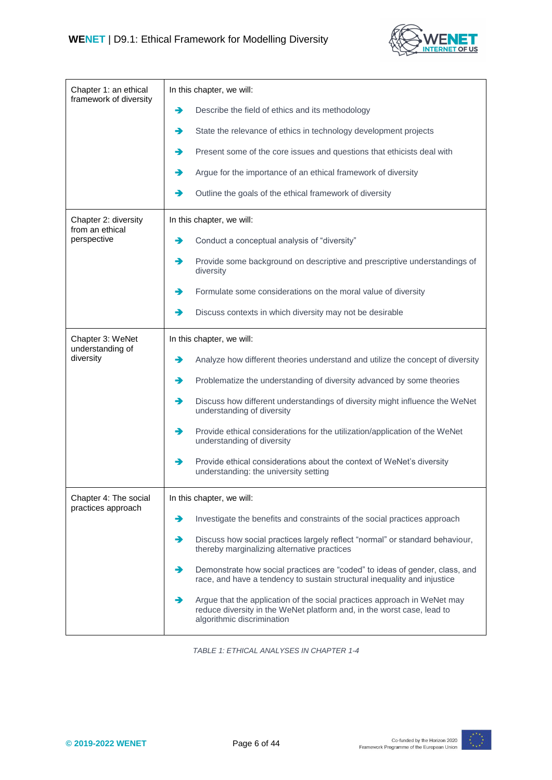

| Chapter 1: an ethical<br>framework of diversity | In this chapter, we will:                                                                                                                                                             |  |  |
|-------------------------------------------------|---------------------------------------------------------------------------------------------------------------------------------------------------------------------------------------|--|--|
|                                                 | Describe the field of ethics and its methodology<br>→                                                                                                                                 |  |  |
|                                                 | →<br>State the relevance of ethics in technology development projects                                                                                                                 |  |  |
|                                                 | →<br>Present some of the core issues and questions that ethicists deal with                                                                                                           |  |  |
|                                                 | Argue for the importance of an ethical framework of diversity<br>→                                                                                                                    |  |  |
|                                                 | →<br>Outline the goals of the ethical framework of diversity                                                                                                                          |  |  |
| Chapter 2: diversity<br>from an ethical         | In this chapter, we will:                                                                                                                                                             |  |  |
| perspective                                     | →<br>Conduct a conceptual analysis of "diversity"                                                                                                                                     |  |  |
|                                                 | →<br>Provide some background on descriptive and prescriptive understandings of<br>diversity                                                                                           |  |  |
|                                                 | Formulate some considerations on the moral value of diversity<br>→                                                                                                                    |  |  |
|                                                 | →<br>Discuss contexts in which diversity may not be desirable                                                                                                                         |  |  |
| Chapter 3: WeNet<br>understanding of            | In this chapter, we will:                                                                                                                                                             |  |  |
| diversity                                       | Analyze how different theories understand and utilize the concept of diversity<br>→                                                                                                   |  |  |
|                                                 | Problematize the understanding of diversity advanced by some theories<br>→                                                                                                            |  |  |
|                                                 | →<br>Discuss how different understandings of diversity might influence the WeNet<br>understanding of diversity                                                                        |  |  |
|                                                 | →<br>Provide ethical considerations for the utilization/application of the WeNet<br>understanding of diversity                                                                        |  |  |
|                                                 | →<br>Provide ethical considerations about the context of WeNet's diversity<br>understanding: the university setting                                                                   |  |  |
| Chapter 4: The social<br>practices approach     | In this chapter, we will:                                                                                                                                                             |  |  |
|                                                 | Investigate the benefits and constraints of the social practices approach<br>→                                                                                                        |  |  |
|                                                 | →<br>Discuss how social practices largely reflect "normal" or standard behaviour,<br>thereby marginalizing alternative practices                                                      |  |  |
|                                                 | →<br>Demonstrate how social practices are "coded" to ideas of gender, class, and<br>race, and have a tendency to sustain structural inequality and injustice                          |  |  |
|                                                 | Argue that the application of the social practices approach in WeNet may<br>→<br>reduce diversity in the WeNet platform and, in the worst case, lead to<br>algorithmic discrimination |  |  |

*TABLE 1: ETHICAL ANALYSES IN CHAPTER 1-4*

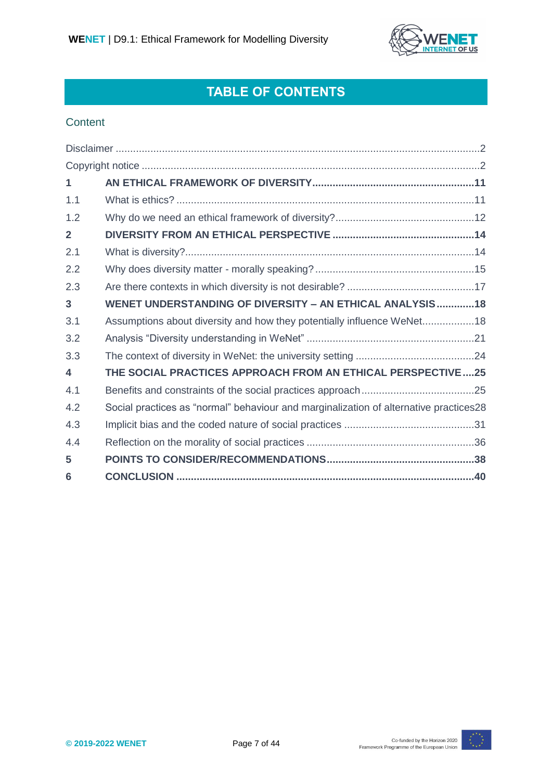

# **TABLE OF CONTENTS**

#### **Content**

| $\mathbf{1}$   |                                                                                       |
|----------------|---------------------------------------------------------------------------------------|
| 1.1            |                                                                                       |
| 1.2            |                                                                                       |
| $\overline{2}$ |                                                                                       |
| 2.1            |                                                                                       |
| 2.2            |                                                                                       |
| 2.3            |                                                                                       |
| 3              | WENET UNDERSTANDING OF DIVERSITY - AN ETHICAL ANALYSIS 18                             |
| 3.1            | Assumptions about diversity and how they potentially influence WeNet18                |
| 3.2            |                                                                                       |
| 3.3            |                                                                                       |
| 4              | THE SOCIAL PRACTICES APPROACH FROM AN ETHICAL PERSPECTIVE25                           |
| 4.1            |                                                                                       |
| 4.2            | Social practices as "normal" behaviour and marginalization of alternative practices28 |
| 4.3            |                                                                                       |
| 4.4            |                                                                                       |
| 5              |                                                                                       |
| 6              |                                                                                       |

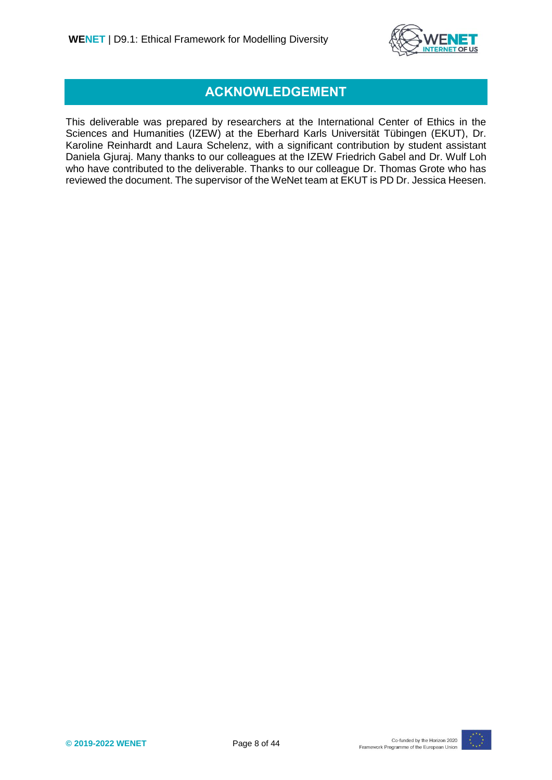

#### **ACKNOWLEDGEMENT**

This deliverable was prepared by researchers at the International Center of Ethics in the Sciences and Humanities (IZEW) at the Eberhard Karls Universität Tübingen (EKUT), Dr. Karoline Reinhardt and Laura Schelenz, with a significant contribution by student assistant Daniela Gjuraj. Many thanks to our colleagues at the IZEW Friedrich Gabel and Dr. Wulf Loh who have contributed to the deliverable. Thanks to our colleague Dr. Thomas Grote who has reviewed the document. The supervisor of the WeNet team at EKUT is PD Dr. Jessica Heesen.

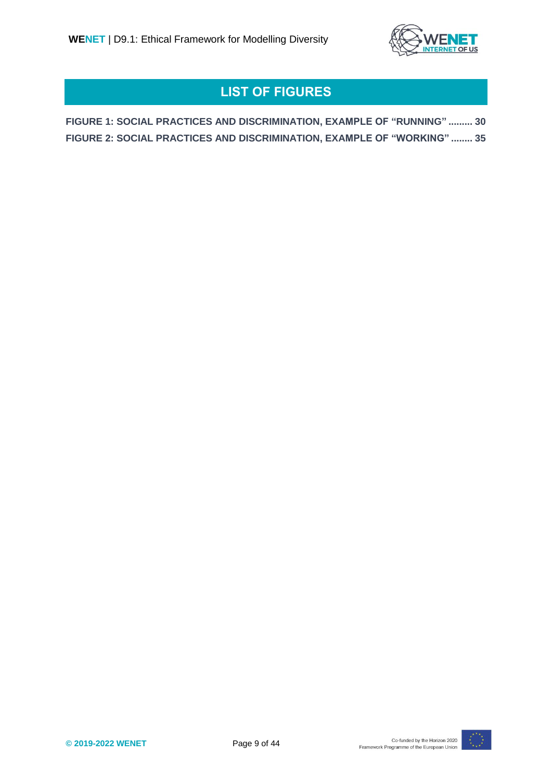

# **LIST OF FIGURES**

**FIGURE 1: SOCIAL PRACTICES AND DISCRIMINATION, EXAMPLE OF "RUNNING" ......... 30 FIGURE 2: SOCIAL PRACTICES AND DISCRIMINATION, EXAMPLE OF "WORKING" ........ 35**

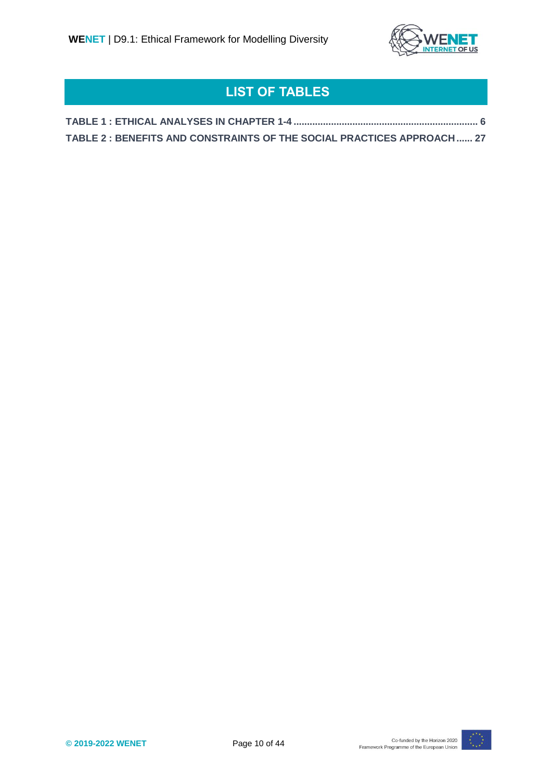

# **LIST OF TABLES**

| TABLE 2 : BENEFITS AND CONSTRAINTS OF THE SOCIAL PRACTICES APPROACH  27 |  |
|-------------------------------------------------------------------------|--|

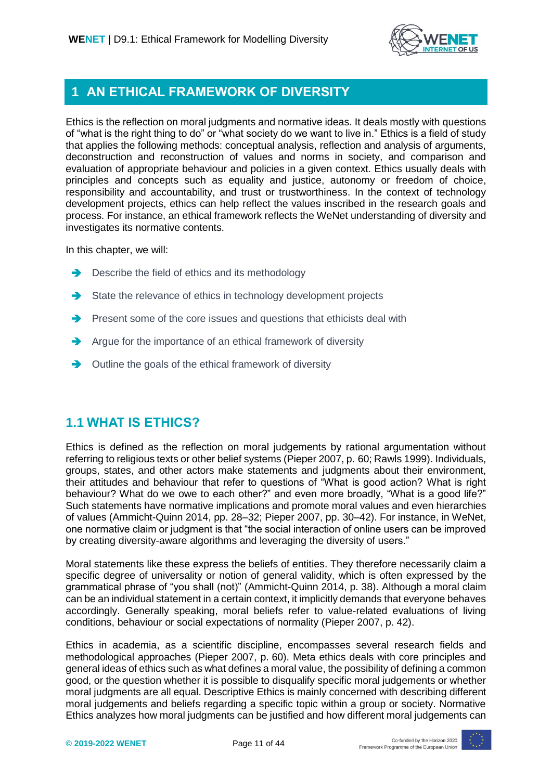

### <span id="page-10-0"></span>**1 AN ETHICAL FRAMEWORK OF DIVERSITY**

Ethics is the reflection on moral judgments and normative ideas. It deals mostly with questions of "what is the right thing to do" or "what society do we want to live in." Ethics is a field of study that applies the following methods: conceptual analysis, reflection and analysis of arguments, deconstruction and reconstruction of values and norms in society, and comparison and evaluation of appropriate behaviour and policies in a given context. Ethics usually deals with principles and concepts such as equality and justice, autonomy or freedom of choice, responsibility and accountability, and trust or trustworthiness. In the context of technology development projects, ethics can help reflect the values inscribed in the research goals and process. For instance, an ethical framework reflects the WeNet understanding of diversity and investigates its normative contents.

In this chapter, we will:

- $\rightarrow$  Describe the field of ethics and its methodology
- $\rightarrow$  State the relevance of ethics in technology development projects
- $\rightarrow$  Present some of the core issues and questions that ethicists deal with
- $\rightarrow$  Argue for the importance of an ethical framework of diversity
- $\rightarrow$  Outline the goals of the ethical framework of diversity

#### <span id="page-10-1"></span>**1.1 WHAT IS ETHICS?**

Ethics is defined as the reflection on moral judgements by rational argumentation without referring to religious texts or other belief systems (Pieper 2007, p. 60; Rawls 1999). Individuals, groups, states, and other actors make statements and judgments about their environment, their attitudes and behaviour that refer to questions of "What is good action? What is right behaviour? What do we owe to each other?" and even more broadly, "What is a good life?" Such statements have normative implications and promote moral values and even hierarchies of values (Ammicht-Quinn 2014, pp. 28–32; Pieper 2007, pp. 30–42). For instance, in WeNet, one normative claim or judgment is that "the social interaction of online users can be improved by creating diversity-aware algorithms and leveraging the diversity of users."

Moral statements like these express the beliefs of entities. They therefore necessarily claim a specific degree of universality or notion of general validity, which is often expressed by the grammatical phrase of "you shall (not)" (Ammicht-Quinn 2014, p. 38). Although a moral claim can be an individual statement in a certain context, it implicitly demands that everyone behaves accordingly. Generally speaking, moral beliefs refer to value-related evaluations of living conditions, behaviour or social expectations of normality (Pieper 2007, p. 42).

Ethics in academia, as a scientific discipline, encompasses several research fields and methodological approaches (Pieper 2007, p. 60). Meta ethics deals with core principles and general ideas of ethics such as what defines a moral value, the possibility of defining a common good, or the question whether it is possible to disqualify specific moral judgements or whether moral judgments are all equal. Descriptive Ethics is mainly concerned with describing different moral judgements and beliefs regarding a specific topic within a group or society. Normative Ethics analyzes how moral judgments can be justified and how different moral judgements can

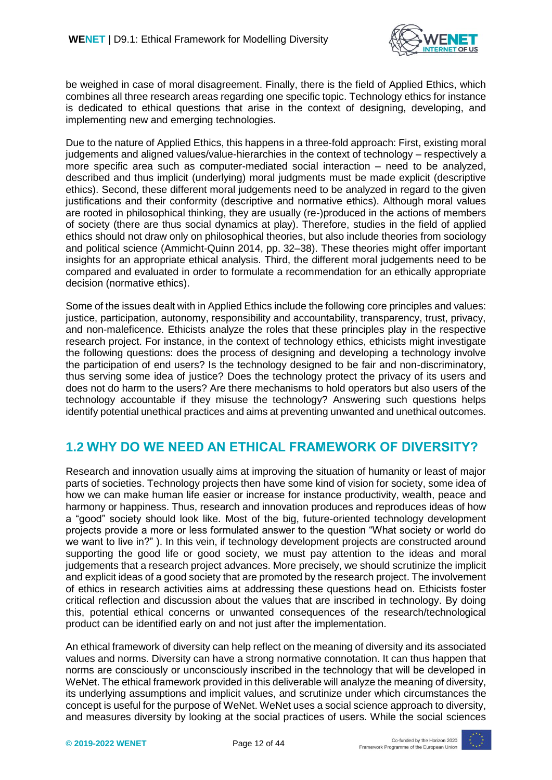

be weighed in case of moral disagreement. Finally, there is the field of Applied Ethics, which combines all three research areas regarding one specific topic. Technology ethics for instance is dedicated to ethical questions that arise in the context of designing, developing, and implementing new and emerging technologies.

Due to the nature of Applied Ethics, this happens in a three-fold approach: First, existing moral judgements and aligned values/value-hierarchies in the context of technology – respectively a more specific area such as computer-mediated social interaction – need to be analyzed, described and thus implicit (underlying) moral judgments must be made explicit (descriptive ethics). Second, these different moral judgements need to be analyzed in regard to the given justifications and their conformity (descriptive and normative ethics). Although moral values are rooted in philosophical thinking, they are usually (re-)produced in the actions of members of society (there are thus social dynamics at play). Therefore, studies in the field of applied ethics should not draw only on philosophical theories, but also include theories from sociology and political science (Ammicht-Quinn 2014, pp. 32–38). These theories might offer important insights for an appropriate ethical analysis. Third, the different moral judgements need to be compared and evaluated in order to formulate a recommendation for an ethically appropriate decision (normative ethics).

Some of the issues dealt with in Applied Ethics include the following core principles and values: justice, participation, autonomy, responsibility and accountability, transparency, trust, privacy, and non-maleficence. Ethicists analyze the roles that these principles play in the respective research project. For instance, in the context of technology ethics, ethicists might investigate the following questions: does the process of designing and developing a technology involve the participation of end users? Is the technology designed to be fair and non-discriminatory, thus serving some idea of justice? Does the technology protect the privacy of its users and does not do harm to the users? Are there mechanisms to hold operators but also users of the technology accountable if they misuse the technology? Answering such questions helps identify potential unethical practices and aims at preventing unwanted and unethical outcomes.

#### <span id="page-11-0"></span>**1.2 WHY DO WE NEED AN ETHICAL FRAMEWORK OF DIVERSITY?**

Research and innovation usually aims at improving the situation of humanity or least of major parts of societies. Technology projects then have some kind of vision for society, some idea of how we can make human life easier or increase for instance productivity, wealth, peace and harmony or happiness. Thus, research and innovation produces and reproduces ideas of how a "good" society should look like. Most of the big, future-oriented technology development projects provide a more or less formulated answer to the question "What society or world do we want to live in?" ). In this vein, if technology development projects are constructed around supporting the good life or good society, we must pay attention to the ideas and moral judgements that a research project advances. More precisely, we should scrutinize the implicit and explicit ideas of a good society that are promoted by the research project. The involvement of ethics in research activities aims at addressing these questions head on. Ethicists foster critical reflection and discussion about the values that are inscribed in technology. By doing this, potential ethical concerns or unwanted consequences of the research/technological product can be identified early on and not just after the implementation.

An ethical framework of diversity can help reflect on the meaning of diversity and its associated values and norms. Diversity can have a strong normative connotation. It can thus happen that norms are consciously or unconsciously inscribed in the technology that will be developed in WeNet. The ethical framework provided in this deliverable will analyze the meaning of diversity, its underlying assumptions and implicit values, and scrutinize under which circumstances the concept is useful for the purpose of WeNet. WeNet uses a social science approach to diversity, and measures diversity by looking at the social practices of users. While the social sciences

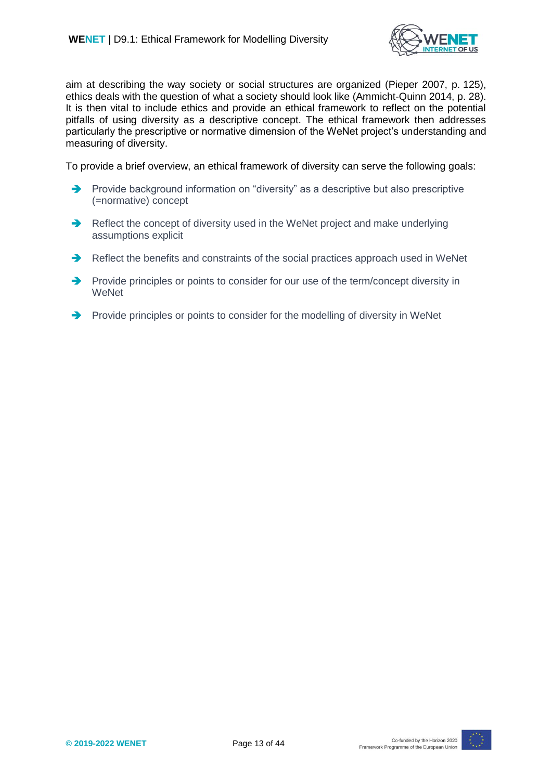

aim at describing the way society or social structures are organized (Pieper 2007, p. 125), ethics deals with the question of what a society should look like (Ammicht-Quinn 2014, p. 28). It is then vital to include ethics and provide an ethical framework to reflect on the potential pitfalls of using diversity as a descriptive concept. The ethical framework then addresses particularly the prescriptive or normative dimension of the WeNet project's understanding and measuring of diversity.

To provide a brief overview, an ethical framework of diversity can serve the following goals:

- $\rightarrow$  Provide background information on "diversity" as a descriptive but also prescriptive (=normative) concept
- Reflect the concept of diversity used in the WeNet project and make underlying assumptions explicit
- Reflect the benefits and constraints of the social practices approach used in WeNet
- Provide principles or points to consider for our use of the term/concept diversity in **WeNet**
- Provide principles or points to consider for the modelling of diversity in WeNet

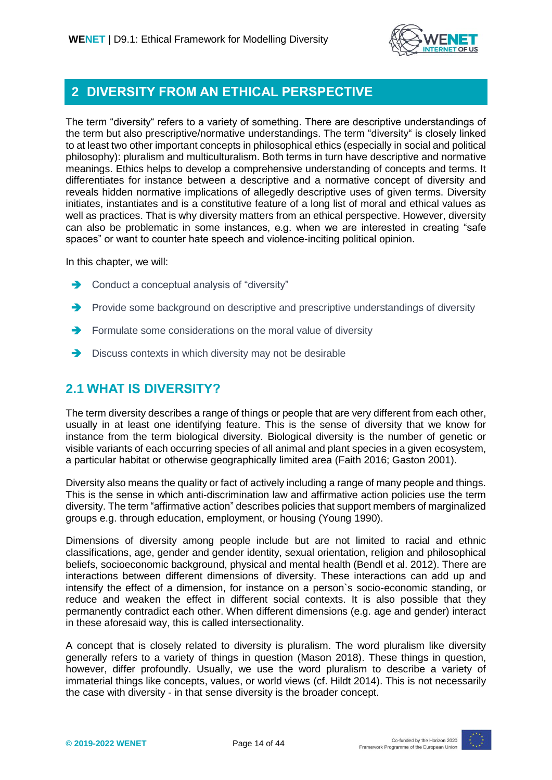

#### <span id="page-13-0"></span>**2 DIVERSITY FROM AN ETHICAL PERSPECTIVE**

The term "diversity" refers to a variety of something. There are descriptive understandings of the term but also prescriptive/normative understandings. The term "diversity" is closely linked to at least two other important concepts in philosophical ethics (especially in social and political philosophy): pluralism and multiculturalism. Both terms in turn have descriptive and normative meanings. Ethics helps to develop a comprehensive understanding of concepts and terms. It differentiates for instance between a descriptive and a normative concept of diversity and reveals hidden normative implications of allegedly descriptive uses of given terms. Diversity initiates, instantiates and is a constitutive feature of a long list of moral and ethical values as well as practices. That is why diversity matters from an ethical perspective. However, diversity can also be problematic in some instances, e.g. when we are interested in creating "safe spaces" or want to counter hate speech and violence-inciting political opinion.

In this chapter, we will:

- **→** Conduct a conceptual analysis of "diversity"
- Provide some background on descriptive and prescriptive understandings of diversity
- $\rightarrow$  Formulate some considerations on the moral value of diversity
- **→** Discuss contexts in which diversity may not be desirable

### <span id="page-13-1"></span>**2.1 WHAT IS DIVERSITY?**

The term diversity describes a range of things or people that are very different from each other, usually in at least one identifying feature. This is the sense of diversity that we know for instance from the term biological diversity. Biological diversity is the number of genetic or visible variants of each occurring species of all animal and plant species in a given ecosystem, a particular habitat or otherwise geographically limited area (Faith 2016; Gaston 2001).

Diversity also means the quality or fact of actively including a range of many people and things. This is the sense in which anti-discrimination law and affirmative action policies use the term diversity. The term "affirmative action" describes policies that support members of marginalized groups e.g. through education, employment, or housing (Young 1990).

Dimensions of diversity among people include but are not limited to racial and ethnic classifications, age, gender and gender identity, sexual orientation, religion and philosophical beliefs, socioeconomic background, physical and mental health (Bendl et al. 2012). There are interactions between different dimensions of diversity. These interactions can add up and intensify the effect of a dimension, for instance on a person`s socio-economic standing, or reduce and weaken the effect in different social contexts. It is also possible that they permanently contradict each other. When different dimensions (e.g. age and gender) interact in these aforesaid way, this is called intersectionality.

A concept that is closely related to diversity is pluralism. The word pluralism like diversity generally refers to a variety of things in question (Mason 2018). These things in question, however, differ profoundly. Usually, we use the word pluralism to describe a variety of immaterial things like concepts, values, or world views (cf. Hildt 2014). This is not necessarily the case with diversity - in that sense diversity is the broader concept.

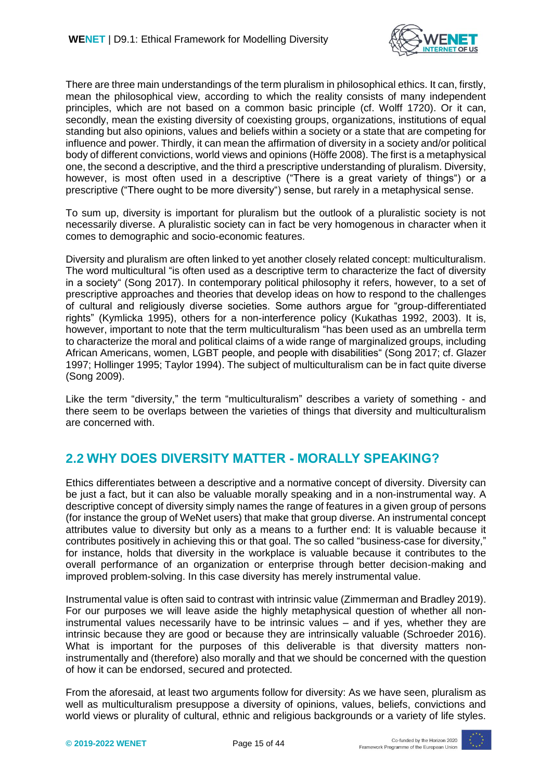

There are three main understandings of the term pluralism in philosophical ethics. It can, firstly, mean the philosophical view, according to which the reality consists of many independent principles, which are not based on a common basic principle (cf. Wolff 1720). Or it can, secondly, mean the existing diversity of coexisting groups, organizations, institutions of equal standing but also opinions, values and beliefs within a society or a state that are competing for influence and power. Thirdly, it can mean the affirmation of diversity in a society and/or political body of different convictions, world views and opinions (Höffe 2008). The first is a metaphysical one, the second a descriptive, and the third a prescriptive understanding of pluralism. Diversity, however, is most often used in a descriptive ("There is a great variety of things") or a prescriptive ("There ought to be more diversity") sense, but rarely in a metaphysical sense.

To sum up, diversity is important for pluralism but the outlook of a pluralistic society is not necessarily diverse. A pluralistic society can in fact be very homogenous in character when it comes to demographic and socio-economic features.

Diversity and pluralism are often linked to yet another closely related concept: multiculturalism. The word multicultural "is often used as a descriptive term to characterize the fact of diversity in a society" (Song 2017). In contemporary political philosophy it refers, however, to a set of prescriptive approaches and theories that develop ideas on how to respond to the challenges of cultural and religiously diverse societies. Some authors argue for "group-differentiated rights" (Kymlicka 1995), others for a non-interference policy (Kukathas 1992, 2003). It is, however, important to note that the term multiculturalism "has been used as an umbrella term to characterize the moral and political claims of a wide range of marginalized groups, including African Americans, women, LGBT people, and people with disabilities" (Song 2017; cf. Glazer 1997; Hollinger 1995; Taylor 1994). The subject of multiculturalism can be in fact quite diverse (Song 2009).

Like the term "diversity," the term "multiculturalism" describes a variety of something - and there seem to be overlaps between the varieties of things that diversity and multiculturalism are concerned with.

### <span id="page-14-0"></span>**2.2 WHY DOES DIVERSITY MATTER - MORALLY SPEAKING?**

Ethics differentiates between a descriptive and a normative concept of diversity. Diversity can be just a fact, but it can also be valuable morally speaking and in a non-instrumental way. A descriptive concept of diversity simply names the range of features in a given group of persons (for instance the group of WeNet users) that make that group diverse. An instrumental concept attributes value to diversity but only as a means to a further end: It is valuable because it contributes positively in achieving this or that goal. The so called "business-case for diversity," for instance, holds that diversity in the workplace is valuable because it contributes to the overall performance of an organization or enterprise through better decision-making and improved problem-solving. In this case diversity has merely instrumental value.

Instrumental value is often said to contrast with intrinsic value (Zimmerman and Bradley 2019). For our purposes we will leave aside the highly metaphysical question of whether all noninstrumental values necessarily have to be intrinsic values – and if yes, whether they are intrinsic because they are good or because they are intrinsically valuable (Schroeder 2016). What is important for the purposes of this deliverable is that diversity matters noninstrumentally and (therefore) also morally and that we should be concerned with the question of how it can be endorsed, secured and protected.

From the aforesaid, at least two arguments follow for diversity: As we have seen, pluralism as well as multiculturalism presuppose a diversity of opinions, values, beliefs, convictions and world views or plurality of cultural, ethnic and religious backgrounds or a variety of life styles.

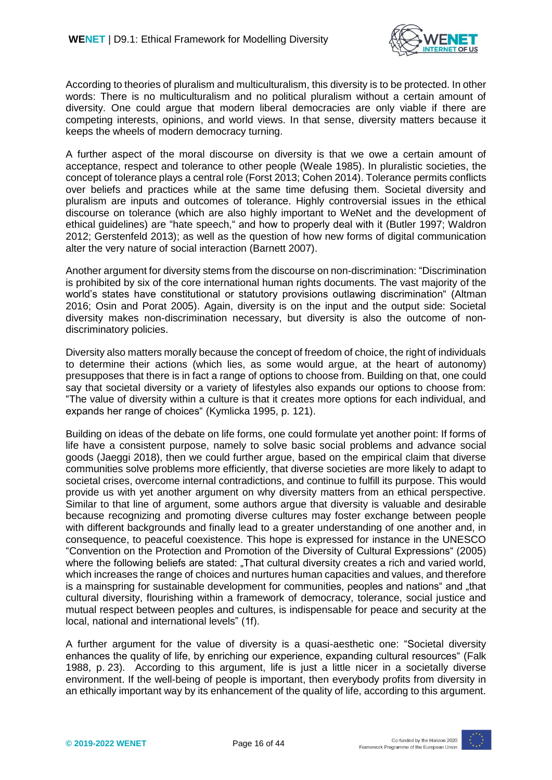

According to theories of pluralism and multiculturalism, this diversity is to be protected. In other words: There is no multiculturalism and no political pluralism without a certain amount of diversity. One could argue that modern liberal democracies are only viable if there are competing interests, opinions, and world views. In that sense, diversity matters because it keeps the wheels of modern democracy turning.

A further aspect of the moral discourse on diversity is that we owe a certain amount of acceptance, respect and tolerance to other people (Weale 1985). In pluralistic societies, the concept of tolerance plays a central role (Forst 2013; Cohen 2014). Tolerance permits conflicts over beliefs and practices while at the same time defusing them. Societal diversity and pluralism are inputs and outcomes of tolerance. Highly controversial issues in the ethical discourse on tolerance (which are also highly important to WeNet and the development of ethical guidelines) are "hate speech," and how to properly deal with it (Butler 1997; Waldron 2012; Gerstenfeld 2013); as well as the question of how new forms of digital communication alter the very nature of social interaction (Barnett 2007).

Another argument for diversity stems from the discourse on non-discrimination: "Discrimination is prohibited by six of the core international human rights documents. The vast majority of the world's states have constitutional or statutory provisions outlawing discrimination" (Altman 2016; Osin and Porat 2005). Again, diversity is on the input and the output side: Societal diversity makes non-discrimination necessary, but diversity is also the outcome of nondiscriminatory policies.

Diversity also matters morally because the concept of freedom of choice, the right of individuals to determine their actions (which lies, as some would argue, at the heart of autonomy) presupposes that there is in fact a range of options to choose from. Building on that, one could say that societal diversity or a variety of lifestyles also expands our options to choose from: "The value of diversity within a culture is that it creates more options for each individual, and expands her range of choices" (Kymlicka 1995, p. 121).

Building on ideas of the debate on life forms, one could formulate yet another point: If forms of life have a consistent purpose, namely to solve basic social problems and advance social goods (Jaeggi 2018), then we could further argue, based on the empirical claim that diverse communities solve problems more efficiently, that diverse societies are more likely to adapt to societal crises, overcome internal contradictions, and continue to fulfill its purpose. This would provide us with yet another argument on why diversity matters from an ethical perspective. Similar to that line of argument, some authors argue that diversity is valuable and desirable because recognizing and promoting diverse cultures may foster exchange between people with different backgrounds and finally lead to a greater understanding of one another and, in consequence, to peaceful coexistence. This hope is expressed for instance in the UNESCO "Convention on the Protection and Promotion of the Diversity of Cultural Expressions" (2005) where the following beliefs are stated: "That cultural diversity creates a rich and varied world, which increases the range of choices and nurtures human capacities and values, and therefore is a mainspring for sustainable development for communities, peoples and nations" and "that cultural diversity, flourishing within a framework of democracy, tolerance, social justice and mutual respect between peoples and cultures, is indispensable for peace and security at the local, national and international levels" (1f).

A further argument for the value of diversity is a quasi-aesthetic one: "Societal diversity enhances the quality of life, by enriching our experience, expanding cultural resources" (Falk 1988, p. 23). According to this argument, life is just a little nicer in a societally diverse environment. If the well-being of people is important, then everybody profits from diversity in an ethically important way by its enhancement of the quality of life, according to this argument.

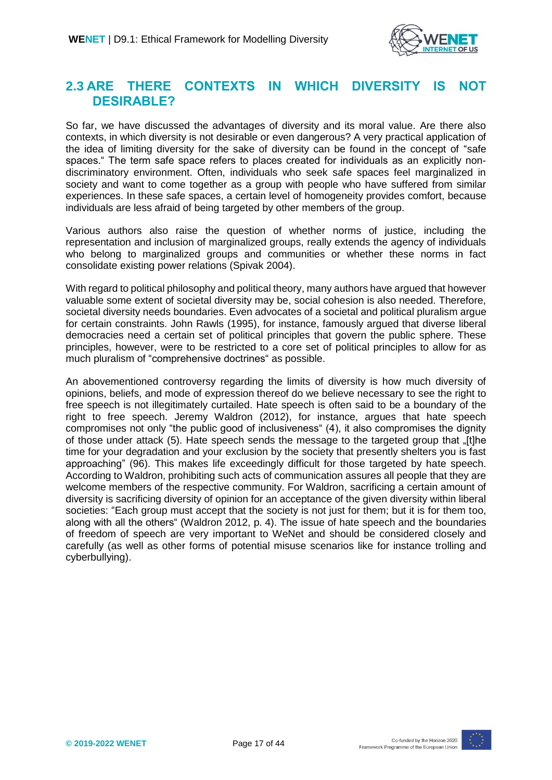

#### <span id="page-16-0"></span>**2.3 ARE THERE CONTEXTS IN WHICH DIVERSITY IS NOT DESIRABLE?**

So far, we have discussed the advantages of diversity and its moral value. Are there also contexts, in which diversity is not desirable or even dangerous? A very practical application of the idea of limiting diversity for the sake of diversity can be found in the concept of "safe spaces." The term safe space refers to places created for individuals as an explicitly nondiscriminatory environment. Often, individuals who seek safe spaces feel marginalized in society and want to come together as a group with people who have suffered from similar experiences. In these safe spaces, a certain level of homogeneity provides comfort, because individuals are less afraid of being targeted by other members of the group.

Various authors also raise the question of whether norms of justice, including the representation and inclusion of marginalized groups, really extends the agency of individuals who belong to marginalized groups and communities or whether these norms in fact consolidate existing power relations (Spivak 2004).

With regard to political philosophy and political theory, many authors have argued that however valuable some extent of societal diversity may be, social cohesion is also needed. Therefore, societal diversity needs boundaries. Even advocates of a societal and political pluralism argue for certain constraints. John Rawls (1995), for instance, famously argued that diverse liberal democracies need a certain set of political principles that govern the public sphere. These principles, however, were to be restricted to a core set of political principles to allow for as much pluralism of "comprehensive doctrines" as possible.

An abovementioned controversy regarding the limits of diversity is how much diversity of opinions, beliefs, and mode of expression thereof do we believe necessary to see the right to free speech is not illegitimately curtailed. Hate speech is often said to be a boundary of the right to free speech. Jeremy Waldron (2012), for instance, argues that hate speech compromises not only "the public good of inclusiveness" (4), it also compromises the dignity of those under attack (5). Hate speech sends the message to the targeted group that "[t]he time for your degradation and your exclusion by the society that presently shelters you is fast approaching" (96). This makes life exceedingly difficult for those targeted by hate speech. According to Waldron, prohibiting such acts of communication assures all people that they are welcome members of the respective community. For Waldron, sacrificing a certain amount of diversity is sacrificing diversity of opinion for an acceptance of the given diversity within liberal societies: "Each group must accept that the society is not just for them; but it is for them too, along with all the others" (Waldron 2012, p. 4). The issue of hate speech and the boundaries of freedom of speech are very important to WeNet and should be considered closely and carefully (as well as other forms of potential misuse scenarios like for instance trolling and cyberbullying).

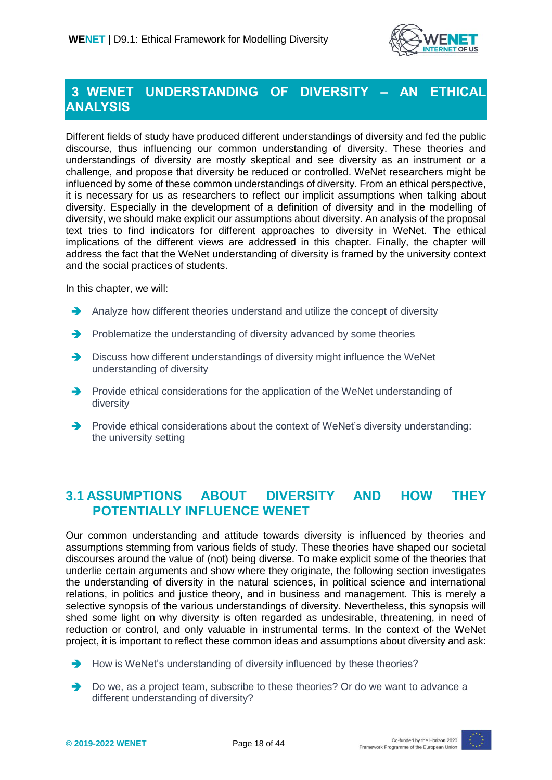

### <span id="page-17-0"></span>**3 WENET UNDERSTANDING OF DIVERSITY – AN ETHICAL ANALYSIS**

Different fields of study have produced different understandings of diversity and fed the public discourse, thus influencing our common understanding of diversity. These theories and understandings of diversity are mostly skeptical and see diversity as an instrument or a challenge, and propose that diversity be reduced or controlled. WeNet researchers might be influenced by some of these common understandings of diversity. From an ethical perspective, it is necessary for us as researchers to reflect our implicit assumptions when talking about diversity. Especially in the development of a definition of diversity and in the modelling of diversity, we should make explicit our assumptions about diversity. An analysis of the proposal text tries to find indicators for different approaches to diversity in WeNet. The ethical implications of the different views are addressed in this chapter. Finally, the chapter will address the fact that the WeNet understanding of diversity is framed by the university context and the social practices of students.

In this chapter, we will:

- Analyze how different theories understand and utilize the concept of diversity
- $\rightarrow$  Problematize the understanding of diversity advanced by some theories
- Discuss how different understandings of diversity might influence the WeNet understanding of diversity
- Provide ethical considerations for the application of the WeNet understanding of diversity
- Provide ethical considerations about the context of WeNet's diversity understanding: the university setting

#### <span id="page-17-1"></span>**3.1 ASSUMPTIONS ABOUT DIVERSITY AND HOW THEY POTENTIALLY INFLUENCE WENET**

Our common understanding and attitude towards diversity is influenced by theories and assumptions stemming from various fields of study. These theories have shaped our societal discourses around the value of (not) being diverse. To make explicit some of the theories that underlie certain arguments and show where they originate, the following section investigates the understanding of diversity in the natural sciences, in political science and international relations, in politics and justice theory, and in business and management. This is merely a selective synopsis of the various understandings of diversity. Nevertheless, this synopsis will shed some light on why diversity is often regarded as undesirable, threatening, in need of reduction or control, and only valuable in instrumental terms. In the context of the WeNet project, it is important to reflect these common ideas and assumptions about diversity and ask:

- $\rightarrow$  How is WeNet's understanding of diversity influenced by these theories?
- Do we, as a project team, subscribe to these theories? Or do we want to advance a different understanding of diversity?

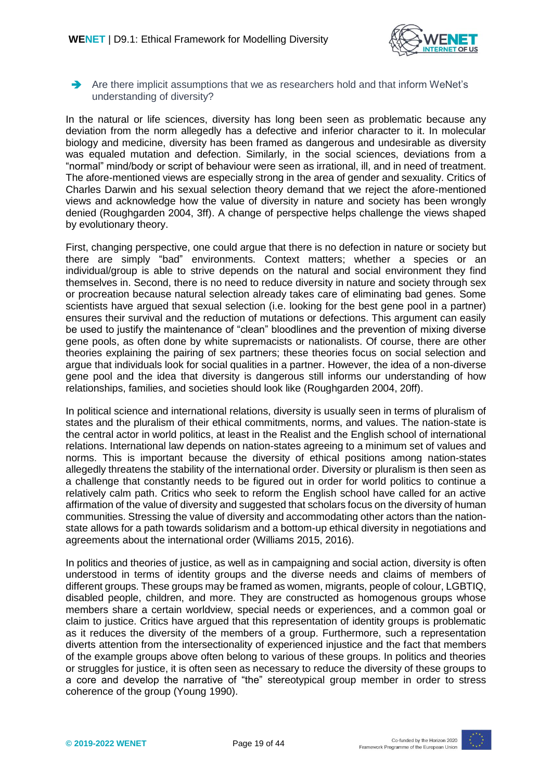

Are there implicit assumptions that we as researchers hold and that inform WeNet's understanding of diversity?

In the natural or life sciences, diversity has long been seen as problematic because any deviation from the norm allegedly has a defective and inferior character to it. In molecular biology and medicine, diversity has been framed as dangerous and undesirable as diversity was equaled mutation and defection. Similarly, in the social sciences, deviations from a "normal" mind/body or script of behaviour were seen as irrational, ill, and in need of treatment. The afore-mentioned views are especially strong in the area of gender and sexuality. Critics of Charles Darwin and his sexual selection theory demand that we reject the afore-mentioned views and acknowledge how the value of diversity in nature and society has been wrongly denied (Roughgarden 2004, 3ff). A change of perspective helps challenge the views shaped by evolutionary theory.

First, changing perspective, one could argue that there is no defection in nature or society but there are simply "bad" environments. Context matters; whether a species or an individual/group is able to strive depends on the natural and social environment they find themselves in. Second, there is no need to reduce diversity in nature and society through sex or procreation because natural selection already takes care of eliminating bad genes. Some scientists have argued that sexual selection (i.e. looking for the best gene pool in a partner) ensures their survival and the reduction of mutations or defections. This argument can easily be used to justify the maintenance of "clean" bloodlines and the prevention of mixing diverse gene pools, as often done by white supremacists or nationalists. Of course, there are other theories explaining the pairing of sex partners; these theories focus on social selection and argue that individuals look for social qualities in a partner. However, the idea of a non-diverse gene pool and the idea that diversity is dangerous still informs our understanding of how relationships, families, and societies should look like (Roughgarden 2004, 20ff).

In political science and international relations, diversity is usually seen in terms of pluralism of states and the pluralism of their ethical commitments, norms, and values. The nation-state is the central actor in world politics, at least in the Realist and the English school of international relations. International law depends on nation-states agreeing to a minimum set of values and norms. This is important because the diversity of ethical positions among nation-states allegedly threatens the stability of the international order. Diversity or pluralism is then seen as a challenge that constantly needs to be figured out in order for world politics to continue a relatively calm path. Critics who seek to reform the English school have called for an active affirmation of the value of diversity and suggested that scholars focus on the diversity of human communities. Stressing the value of diversity and accommodating other actors than the nationstate allows for a path towards solidarism and a bottom-up ethical diversity in negotiations and agreements about the international order (Williams 2015, 2016).

In politics and theories of justice, as well as in campaigning and social action, diversity is often understood in terms of identity groups and the diverse needs and claims of members of different groups. These groups may be framed as women, migrants, people of colour, LGBTIQ, disabled people, children, and more. They are constructed as homogenous groups whose members share a certain worldview, special needs or experiences, and a common goal or claim to justice. Critics have argued that this representation of identity groups is problematic as it reduces the diversity of the members of a group. Furthermore, such a representation diverts attention from the intersectionality of experienced injustice and the fact that members of the example groups above often belong to various of these groups. In politics and theories or struggles for justice, it is often seen as necessary to reduce the diversity of these groups to a core and develop the narrative of "the" stereotypical group member in order to stress coherence of the group (Young 1990).

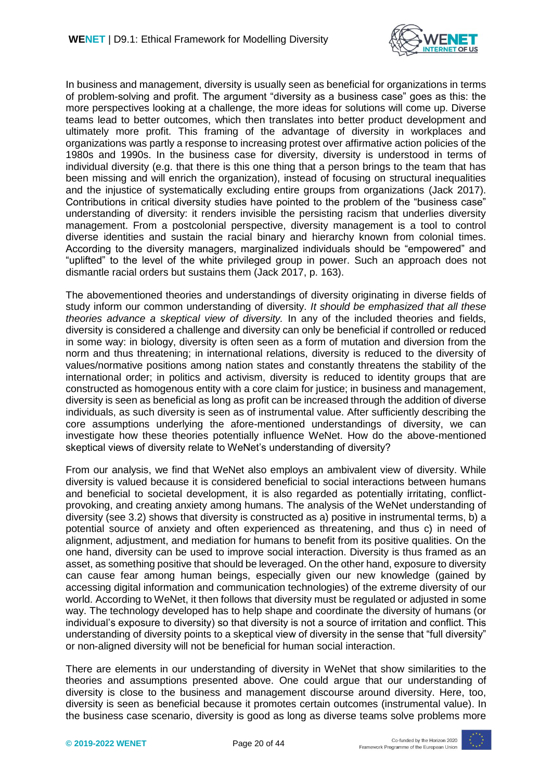

In business and management, diversity is usually seen as beneficial for organizations in terms of problem-solving and profit. The argument "diversity as a business case" goes as this: the more perspectives looking at a challenge, the more ideas for solutions will come up. Diverse teams lead to better outcomes, which then translates into better product development and ultimately more profit. This framing of the advantage of diversity in workplaces and organizations was partly a response to increasing protest over affirmative action policies of the 1980s and 1990s. In the business case for diversity, diversity is understood in terms of individual diversity (e.g. that there is this one thing that a person brings to the team that has been missing and will enrich the organization), instead of focusing on structural inequalities and the injustice of systematically excluding entire groups from organizations (Jack 2017). Contributions in critical diversity studies have pointed to the problem of the "business case" understanding of diversity: it renders invisible the persisting racism that underlies diversity management. From a postcolonial perspective, diversity management is a tool to control diverse identities and sustain the racial binary and hierarchy known from colonial times. According to the diversity managers, marginalized individuals should be "empowered" and "uplifted" to the level of the white privileged group in power. Such an approach does not dismantle racial orders but sustains them (Jack 2017, p. 163).

The abovementioned theories and understandings of diversity originating in diverse fields of study inform our common understanding of diversity. *It should be emphasized that all these theories advance a skeptical view of diversity.* In any of the included theories and fields, diversity is considered a challenge and diversity can only be beneficial if controlled or reduced in some way: in biology, diversity is often seen as a form of mutation and diversion from the norm and thus threatening; in international relations, diversity is reduced to the diversity of values/normative positions among nation states and constantly threatens the stability of the international order; in politics and activism, diversity is reduced to identity groups that are constructed as homogenous entity with a core claim for justice; in business and management, diversity is seen as beneficial as long as profit can be increased through the addition of diverse individuals, as such diversity is seen as of instrumental value. After sufficiently describing the core assumptions underlying the afore-mentioned understandings of diversity, we can investigate how these theories potentially influence WeNet. How do the above-mentioned skeptical views of diversity relate to WeNet's understanding of diversity?

From our analysis, we find that WeNet also employs an ambivalent view of diversity. While diversity is valued because it is considered beneficial to social interactions between humans and beneficial to societal development, it is also regarded as potentially irritating, conflictprovoking, and creating anxiety among humans. The analysis of the WeNet understanding of diversity (see 3.2) shows that diversity is constructed as a) positive in instrumental terms, b) a potential source of anxiety and often experienced as threatening, and thus c) in need of alignment, adjustment, and mediation for humans to benefit from its positive qualities. On the one hand, diversity can be used to improve social interaction. Diversity is thus framed as an asset, as something positive that should be leveraged. On the other hand, exposure to diversity can cause fear among human beings, especially given our new knowledge (gained by accessing digital information and communication technologies) of the extreme diversity of our world. According to WeNet, it then follows that diversity must be regulated or adjusted in some way. The technology developed has to help shape and coordinate the diversity of humans (or individual's exposure to diversity) so that diversity is not a source of irritation and conflict. This understanding of diversity points to a skeptical view of diversity in the sense that "full diversity" or non-aligned diversity will not be beneficial for human social interaction.

There are elements in our understanding of diversity in WeNet that show similarities to the theories and assumptions presented above. One could argue that our understanding of diversity is close to the business and management discourse around diversity. Here, too, diversity is seen as beneficial because it promotes certain outcomes (instrumental value). In the business case scenario, diversity is good as long as diverse teams solve problems more

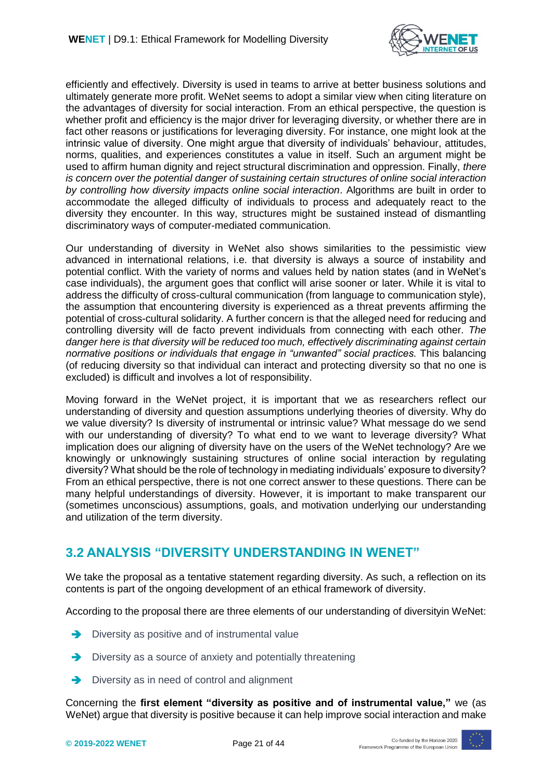

efficiently and effectively. Diversity is used in teams to arrive at better business solutions and ultimately generate more profit. WeNet seems to adopt a similar view when citing literature on the advantages of diversity for social interaction. From an ethical perspective, the question is whether profit and efficiency is the major driver for leveraging diversity, or whether there are in fact other reasons or justifications for leveraging diversity. For instance, one might look at the intrinsic value of diversity. One might argue that diversity of individuals' behaviour, attitudes, norms, qualities, and experiences constitutes a value in itself. Such an argument might be used to affirm human dignity and reject structural discrimination and oppression. Finally, *there is concern over the potential danger of sustaining certain structures of online social interaction by controlling how diversity impacts online social interaction*. Algorithms are built in order to accommodate the alleged difficulty of individuals to process and adequately react to the diversity they encounter. In this way, structures might be sustained instead of dismantling discriminatory ways of computer-mediated communication.

Our understanding of diversity in WeNet also shows similarities to the pessimistic view advanced in international relations, i.e. that diversity is always a source of instability and potential conflict. With the variety of norms and values held by nation states (and in WeNet's case individuals), the argument goes that conflict will arise sooner or later. While it is vital to address the difficulty of cross-cultural communication (from language to communication style), the assumption that encountering diversity is experienced as a threat prevents affirming the potential of cross-cultural solidarity. A further concern is that the alleged need for reducing and controlling diversity will de facto prevent individuals from connecting with each other. *The danger here is that diversity will be reduced too much, effectively discriminating against certain normative positions or individuals that engage in "unwanted" social practices.* This balancing (of reducing diversity so that individual can interact and protecting diversity so that no one is excluded) is difficult and involves a lot of responsibility.

Moving forward in the WeNet project, it is important that we as researchers reflect our understanding of diversity and question assumptions underlying theories of diversity. Why do we value diversity? Is diversity of instrumental or intrinsic value? What message do we send with our understanding of diversity? To what end to we want to leverage diversity? What implication does our aligning of diversity have on the users of the WeNet technology? Are we knowingly or unknowingly sustaining structures of online social interaction by regulating diversity? What should be the role of technology in mediating individuals' exposure to diversity? From an ethical perspective, there is not one correct answer to these questions. There can be many helpful understandings of diversity. However, it is important to make transparent our (sometimes unconscious) assumptions, goals, and motivation underlying our understanding and utilization of the term diversity.

#### <span id="page-20-0"></span>**3.2 ANALYSIS "DIVERSITY UNDERSTANDING IN WENET"**

We take the proposal as a tentative statement regarding diversity. As such, a reflection on its contents is part of the ongoing development of an ethical framework of diversity.

According to the proposal there are three elements of our understanding of diversityin WeNet:

- $\rightarrow$  Diversity as positive and of instrumental value
- $\rightarrow$  Diversity as a source of anxiety and potentially threatening
- Diversity as in need of control and alignment

Concerning the **first element "diversity as positive and of instrumental value,"** we (as WeNet) argue that diversity is positive because it can help improve social interaction and make

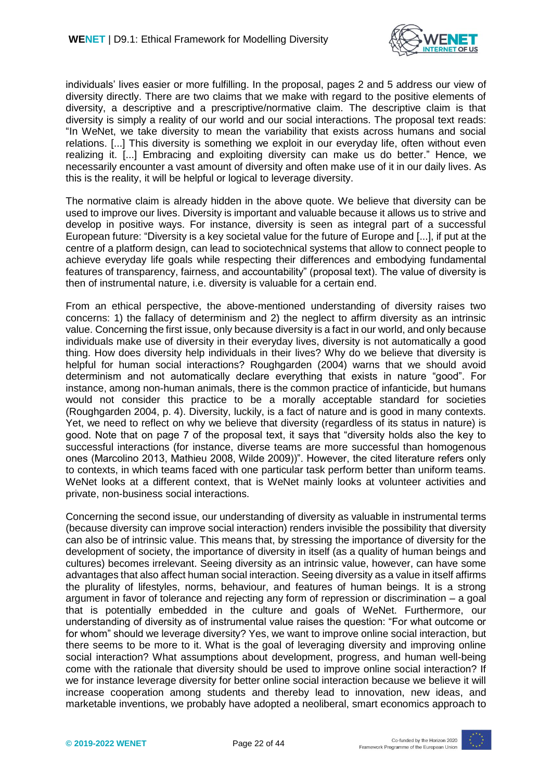

individuals' lives easier or more fulfilling. In the proposal, pages 2 and 5 address our view of diversity directly. There are two claims that we make with regard to the positive elements of diversity, a descriptive and a prescriptive/normative claim. The descriptive claim is that diversity is simply a reality of our world and our social interactions. The proposal text reads: "In WeNet, we take diversity to mean the variability that exists across humans and social relations. [...] This diversity is something we exploit in our everyday life, often without even realizing it. [...] Embracing and exploiting diversity can make us do better." Hence, we necessarily encounter a vast amount of diversity and often make use of it in our daily lives. As this is the reality, it will be helpful or logical to leverage diversity.

The normative claim is already hidden in the above quote. We believe that diversity can be used to improve our lives. Diversity is important and valuable because it allows us to strive and develop in positive ways. For instance, diversity is seen as integral part of a successful European future: "Diversity is a key societal value for the future of Europe and [...], if put at the centre of a platform design, can lead to sociotechnical systems that allow to connect people to achieve everyday life goals while respecting their differences and embodying fundamental features of transparency, fairness, and accountability" (proposal text). The value of diversity is then of instrumental nature, i.e. diversity is valuable for a certain end.

From an ethical perspective, the above-mentioned understanding of diversity raises two concerns: 1) the fallacy of determinism and 2) the neglect to affirm diversity as an intrinsic value. Concerning the first issue, only because diversity is a fact in our world, and only because individuals make use of diversity in their everyday lives, diversity is not automatically a good thing. How does diversity help individuals in their lives? Why do we believe that diversity is helpful for human social interactions? Roughgarden (2004) warns that we should avoid determinism and not automatically declare everything that exists in nature "good". For instance, among non-human animals, there is the common practice of infanticide, but humans would not consider this practice to be a morally acceptable standard for societies (Roughgarden 2004, p. 4). Diversity, luckily, is a fact of nature and is good in many contexts. Yet, we need to reflect on why we believe that diversity (regardless of its status in nature) is good. Note that on page 7 of the proposal text, it says that "diversity holds also the key to successful interactions (for instance, diverse teams are more successful than homogenous ones (Marcolino 2013, Mathieu 2008, Wilde 2009))". However, the cited literature refers only to contexts, in which teams faced with one particular task perform better than uniform teams. WeNet looks at a different context, that is WeNet mainly looks at volunteer activities and private, non-business social interactions.

Concerning the second issue, our understanding of diversity as valuable in instrumental terms (because diversity can improve social interaction) renders invisible the possibility that diversity can also be of intrinsic value. This means that, by stressing the importance of diversity for the development of society, the importance of diversity in itself (as a quality of human beings and cultures) becomes irrelevant. Seeing diversity as an intrinsic value, however, can have some advantages that also affect human social interaction. Seeing diversity as a value in itself affirms the plurality of lifestyles, norms, behaviour, and features of human beings. It is a strong argument in favor of tolerance and rejecting any form of repression or discrimination – a goal that is potentially embedded in the culture and goals of WeNet. Furthermore, our understanding of diversity as of instrumental value raises the question: "For what outcome or for whom" should we leverage diversity? Yes, we want to improve online social interaction, but there seems to be more to it. What is the goal of leveraging diversity and improving online social interaction? What assumptions about development, progress, and human well-being come with the rationale that diversity should be used to improve online social interaction? If we for instance leverage diversity for better online social interaction because we believe it will increase cooperation among students and thereby lead to innovation, new ideas, and marketable inventions, we probably have adopted a neoliberal, smart economics approach to

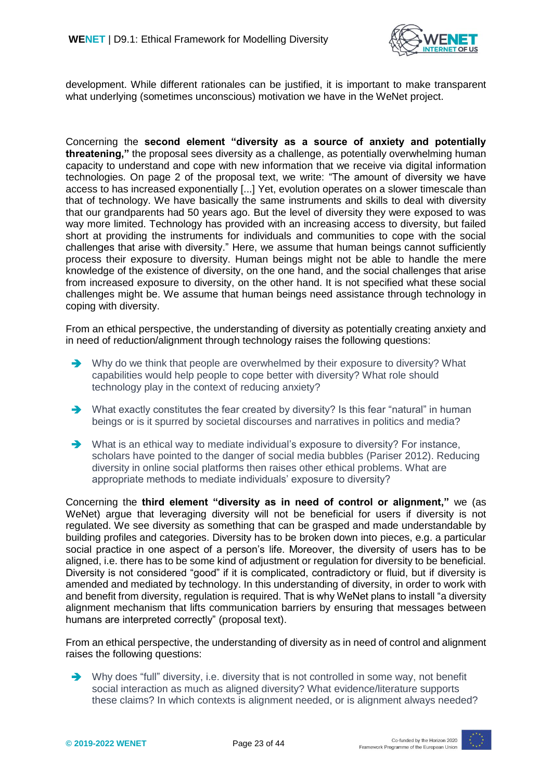

development. While different rationales can be justified, it is important to make transparent what underlying (sometimes unconscious) motivation we have in the WeNet project.

Concerning the **second element "diversity as a source of anxiety and potentially threatening,"** the proposal sees diversity as a challenge, as potentially overwhelming human capacity to understand and cope with new information that we receive via digital information technologies. On page 2 of the proposal text, we write: "The amount of diversity we have access to has increased exponentially [...] Yet, evolution operates on a slower timescale than that of technology. We have basically the same instruments and skills to deal with diversity that our grandparents had 50 years ago. But the level of diversity they were exposed to was way more limited. Technology has provided with an increasing access to diversity, but failed short at providing the instruments for individuals and communities to cope with the social challenges that arise with diversity." Here, we assume that human beings cannot sufficiently process their exposure to diversity. Human beings might not be able to handle the mere knowledge of the existence of diversity, on the one hand, and the social challenges that arise from increased exposure to diversity, on the other hand. It is not specified what these social challenges might be. We assume that human beings need assistance through technology in coping with diversity.

From an ethical perspective, the understanding of diversity as potentially creating anxiety and in need of reduction/alignment through technology raises the following questions:

- Why do we think that people are overwhelmed by their exposure to diversity? What capabilities would help people to cope better with diversity? What role should technology play in the context of reducing anxiety?
- ◆ What exactly constitutes the fear created by diversity? Is this fear "natural" in human beings or is it spurred by societal discourses and narratives in politics and media?
- What is an ethical way to mediate individual's exposure to diversity? For instance, scholars have pointed to the danger of social media bubbles (Pariser 2012). Reducing diversity in online social platforms then raises other ethical problems. What are appropriate methods to mediate individuals' exposure to diversity?

Concerning the **third element "diversity as in need of control or alignment,"** we (as WeNet) argue that leveraging diversity will not be beneficial for users if diversity is not regulated. We see diversity as something that can be grasped and made understandable by building profiles and categories. Diversity has to be broken down into pieces, e.g. a particular social practice in one aspect of a person's life. Moreover, the diversity of users has to be aligned, i.e. there has to be some kind of adjustment or regulation for diversity to be beneficial. Diversity is not considered "good" if it is complicated, contradictory or fluid, but if diversity is amended and mediated by technology. In this understanding of diversity, in order to work with and benefit from diversity, regulation is required. That is why WeNet plans to install "a diversity alignment mechanism that lifts communication barriers by ensuring that messages between humans are interpreted correctly" (proposal text).

From an ethical perspective, the understanding of diversity as in need of control and alignment raises the following questions:

 $\rightarrow$  Why does "full" diversity, i.e. diversity that is not controlled in some way, not benefit social interaction as much as aligned diversity? What evidence/literature supports these claims? In which contexts is alignment needed, or is alignment always needed?

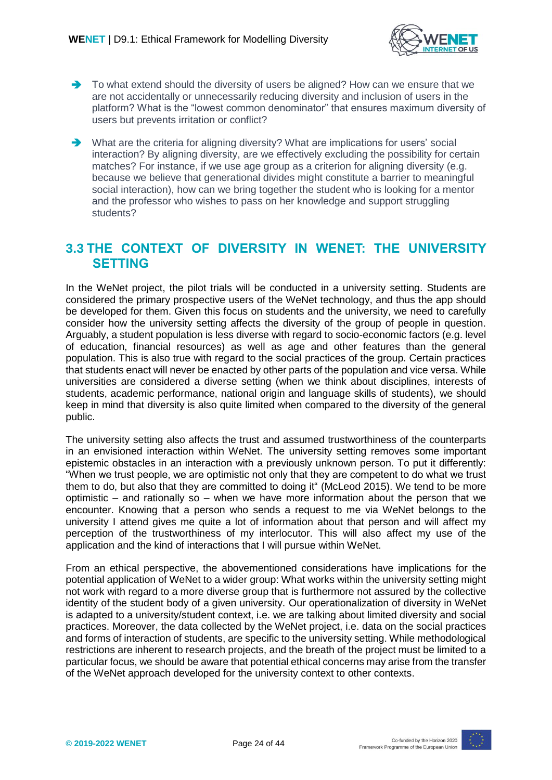

- To what extend should the diversity of users be aligned? How can we ensure that we are not accidentally or unnecessarily reducing diversity and inclusion of users in the platform? What is the "lowest common denominator" that ensures maximum diversity of users but prevents irritation or conflict?
- $\rightarrow$  What are the criteria for aligning diversity? What are implications for users' social interaction? By aligning diversity, are we effectively excluding the possibility for certain matches? For instance, if we use age group as a criterion for aligning diversity (e.g. because we believe that generational divides might constitute a barrier to meaningful social interaction), how can we bring together the student who is looking for a mentor and the professor who wishes to pass on her knowledge and support struggling students?

#### <span id="page-23-0"></span>**3.3 THE CONTEXT OF DIVERSITY IN WENET: THE UNIVERSITY SETTING**

In the WeNet project, the pilot trials will be conducted in a university setting. Students are considered the primary prospective users of the WeNet technology, and thus the app should be developed for them. Given this focus on students and the university, we need to carefully consider how the university setting affects the diversity of the group of people in question. Arguably, a student population is less diverse with regard to socio-economic factors (e.g. level of education, financial resources) as well as age and other features than the general population. This is also true with regard to the social practices of the group. Certain practices that students enact will never be enacted by other parts of the population and vice versa. While universities are considered a diverse setting (when we think about disciplines, interests of students, academic performance, national origin and language skills of students), we should keep in mind that diversity is also quite limited when compared to the diversity of the general public.

The university setting also affects the trust and assumed trustworthiness of the counterparts in an envisioned interaction within WeNet. The university setting removes some important epistemic obstacles in an interaction with a previously unknown person. To put it differently: "When we trust people, we are optimistic not only that they are competent to do what we trust them to do, but also that they are committed to doing it" (McLeod 2015). We tend to be more optimistic – and rationally so – when we have more information about the person that we encounter. Knowing that a person who sends a request to me via WeNet belongs to the university I attend gives me quite a lot of information about that person and will affect my perception of the trustworthiness of my interlocutor. This will also affect my use of the application and the kind of interactions that I will pursue within WeNet.

From an ethical perspective, the abovementioned considerations have implications for the potential application of WeNet to a wider group: What works within the university setting might not work with regard to a more diverse group that is furthermore not assured by the collective identity of the student body of a given university. Our operationalization of diversity in WeNet is adapted to a university/student context, i.e. we are talking about limited diversity and social practices. Moreover, the data collected by the WeNet project, i.e. data on the social practices and forms of interaction of students, are specific to the university setting. While methodological restrictions are inherent to research projects, and the breath of the project must be limited to a particular focus, we should be aware that potential ethical concerns may arise from the transfer of the WeNet approach developed for the university context to other contexts.

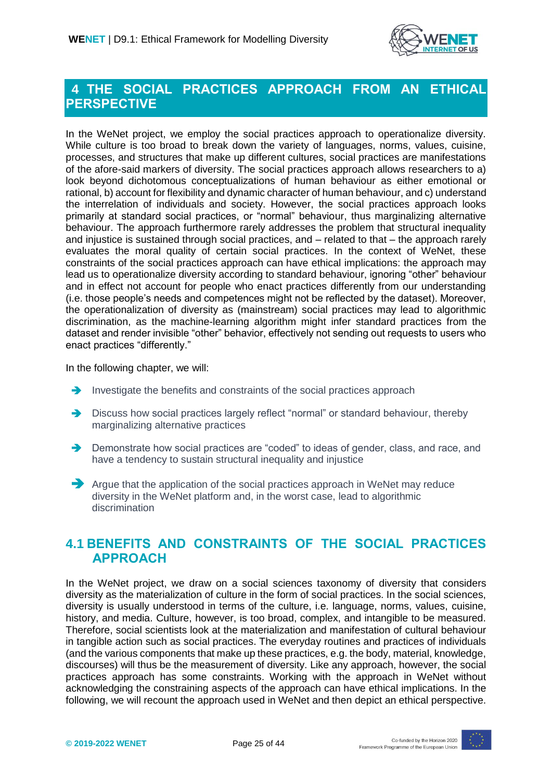

### <span id="page-24-0"></span>**4 THE SOCIAL PRACTICES APPROACH FROM AN ETHICAL PERSPECTIVE**

In the WeNet project, we employ the social practices approach to operationalize diversity. While culture is too broad to break down the variety of languages, norms, values, cuisine, processes, and structures that make up different cultures, social practices are manifestations of the afore-said markers of diversity. The social practices approach allows researchers to a) look beyond dichotomous conceptualizations of human behaviour as either emotional or rational, b) account for flexibility and dynamic character of human behaviour, and c) understand the interrelation of individuals and society. However, the social practices approach looks primarily at standard social practices, or "normal" behaviour, thus marginalizing alternative behaviour. The approach furthermore rarely addresses the problem that structural inequality and injustice is sustained through social practices, and – related to that – the approach rarely evaluates the moral quality of certain social practices. In the context of WeNet, these constraints of the social practices approach can have ethical implications: the approach may lead us to operationalize diversity according to standard behaviour, ignoring "other" behaviour and in effect not account for people who enact practices differently from our understanding (i.e. those people's needs and competences might not be reflected by the dataset). Moreover, the operationalization of diversity as (mainstream) social practices may lead to algorithmic discrimination, as the machine-learning algorithm might infer standard practices from the dataset and render invisible "other" behavior, effectively not sending out requests to users who enact practices "differently."

In the following chapter, we will:

- Investigate the benefits and constraints of the social practices approach
- → Discuss how social practices largely reflect "normal" or standard behaviour, thereby marginalizing alternative practices
- → Demonstrate how social practices are "coded" to ideas of gender, class, and race, and have a tendency to sustain structural inequality and injustice
- Argue that the application of the social practices approach in WeNet may reduce diversity in the WeNet platform and, in the worst case, lead to algorithmic discrimination

#### <span id="page-24-1"></span>**4.1 BENEFITS AND CONSTRAINTS OF THE SOCIAL PRACTICES APPROACH**

In the WeNet project, we draw on a social sciences taxonomy of diversity that considers diversity as the materialization of culture in the form of social practices. In the social sciences, diversity is usually understood in terms of the culture, i.e. language, norms, values, cuisine, history, and media. Culture, however, is too broad, complex, and intangible to be measured. Therefore, social scientists look at the materialization and manifestation of cultural behaviour in tangible action such as social practices. The everyday routines and practices of individuals (and the various components that make up these practices, e.g. the body, material, knowledge, discourses) will thus be the measurement of diversity. Like any approach, however, the social practices approach has some constraints. Working with the approach in WeNet without acknowledging the constraining aspects of the approach can have ethical implications. In the following, we will recount the approach used in WeNet and then depict an ethical perspective.

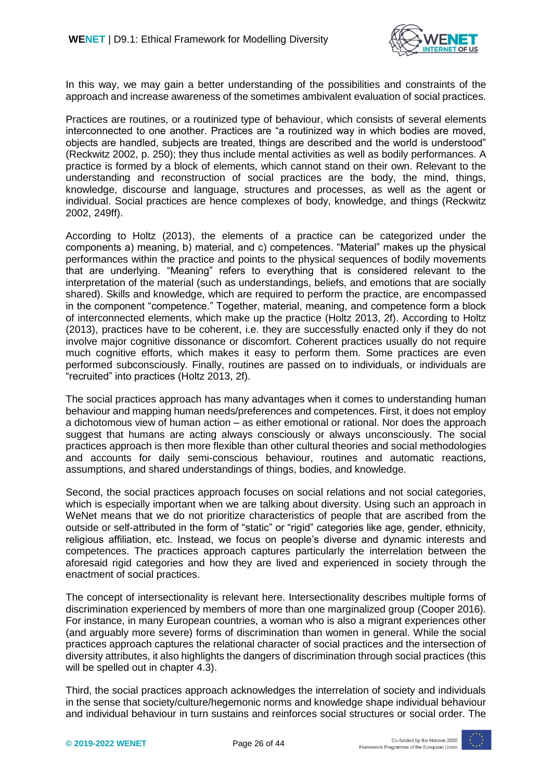

In this way, we may gain a better understanding of the possibilities and constraints of the approach and increase awareness of the sometimes ambivalent evaluation of social practices.

Practices are routines, or a routinized type of behaviour, which consists of several elements interconnected to one another. Practices are "a routinized way in which bodies are moved, objects are handled, subjects are treated, things are described and the world is understood" (Reckwitz 2002, p. 250); they thus include mental activities as well as bodily performances. A practice is formed by a block of elements, which cannot stand on their own. Relevant to the understanding and reconstruction of social practices are the body, the mind, things, knowledge, discourse and language, structures and processes, as well as the agent or individual. Social practices are hence complexes of body, knowledge, and things (Reckwitz 2002, 249ff).

According to Holtz (2013), the elements of a practice can be categorized under the components a) meaning, b) material, and c) competences. "Material" makes up the physical performances within the practice and points to the physical sequences of bodily movements that are underlying. "Meaning" refers to everything that is considered relevant to the interpretation of the material (such as understandings, beliefs, and emotions that are socially shared). Skills and knowledge, which are required to perform the practice, are encompassed in the component "competence." Together, material, meaning, and competence form a block of interconnected elements, which make up the practice (Holtz 2013, 2f). According to Holtz (2013), practices have to be coherent, i.e. they are successfully enacted only if they do not involve major cognitive dissonance or discomfort. Coherent practices usually do not require much cognitive efforts, which makes it easy to perform them. Some practices are even performed subconsciously. Finally, routines are passed on to individuals, or individuals are "recruited" into practices (Holtz 2013, 2f).

The social practices approach has many advantages when it comes to understanding human behaviour and mapping human needs/preferences and competences. First, it does not employ a dichotomous view of human action – as either emotional or rational. Nor does the approach suggest that humans are acting always consciously or always unconsciously. The social practices approach is then more flexible than other cultural theories and social methodologies and accounts for daily semi-conscious behaviour, routines and automatic reactions, assumptions, and shared understandings of things, bodies, and knowledge.

Second, the social practices approach focuses on social relations and not social categories, which is especially important when we are talking about diversity. Using such an approach in WeNet means that we do not prioritize characteristics of people that are ascribed from the outside or self-attributed in the form of "static" or "rigid" categories like age, gender, ethnicity, religious affiliation, etc. Instead, we focus on people's diverse and dynamic interests and competences. The practices approach captures particularly the interrelation between the aforesaid rigid categories and how they are lived and experienced in society through the enactment of social practices.

The concept of intersectionality is relevant here. Intersectionality describes multiple forms of discrimination experienced by members of more than one marginalized group (Cooper 2016). For instance, in many European countries, a woman who is also a migrant experiences other (and arguably more severe) forms of discrimination than women in general. While the social practices approach captures the relational character of social practices and the intersection of diversity attributes, it also highlights the dangers of discrimination through social practices (this will be spelled out in chapter 4.3).

Third, the social practices approach acknowledges the interrelation of society and individuals in the sense that society/culture/hegemonic norms and knowledge shape individual behaviour and individual behaviour in turn sustains and reinforces social structures or social order. The

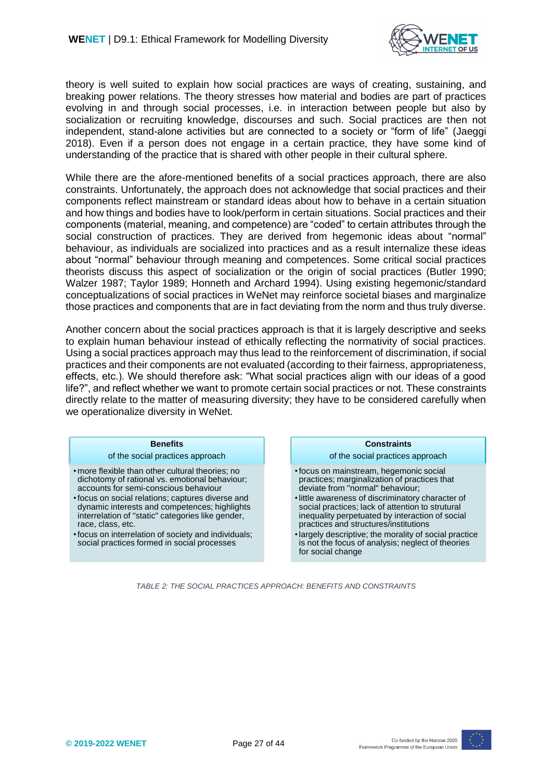

theory is well suited to explain how social practices are ways of creating, sustaining, and breaking power relations. The theory stresses how material and bodies are part of practices evolving in and through social processes, i.e. in interaction between people but also by socialization or recruiting knowledge, discourses and such. Social practices are then not independent, stand-alone activities but are connected to a society or "form of life" (Jaeggi 2018). Even if a person does not engage in a certain practice, they have some kind of understanding of the practice that is shared with other people in their cultural sphere.

While there are the afore-mentioned benefits of a social practices approach, there are also constraints. Unfortunately, the approach does not acknowledge that social practices and their components reflect mainstream or standard ideas about how to behave in a certain situation and how things and bodies have to look/perform in certain situations. Social practices and their components (material, meaning, and competence) are "coded" to certain attributes through the social construction of practices. They are derived from hegemonic ideas about "normal" behaviour, as individuals are socialized into practices and as a result internalize these ideas about "normal" behaviour through meaning and competences. Some critical social practices theorists discuss this aspect of socialization or the origin of social practices (Butler 1990; Walzer 1987; Taylor 1989; Honneth and Archard 1994). Using existing hegemonic/standard conceptualizations of social practices in WeNet may reinforce societal biases and marginalize those practices and components that are in fact deviating from the norm and thus truly diverse.

Another concern about the social practices approach is that it is largely descriptive and seeks to explain human behaviour instead of ethically reflecting the normativity of social practices. Using a social practices approach may thus lead to the reinforcement of discrimination, if social practices and their components are not evaluated (according to their fairness, appropriateness, effects, etc.). We should therefore ask: "What social practices align with our ideas of a good life?", and reflect whether we want to promote certain social practices or not. These constraints directly relate to the matter of measuring diversity; they have to be considered carefully when we operationalize diversity in WeNet.

#### **Benefits**

of the social practices approach

- more flexible than other cultural theories; no dichotomy of rational vs. emotional behaviour; accounts for semi-conscious behaviour
- •focus on social relations; captures diverse and dynamic interests and competences; highlights interrelation of "static" categories like gender, race, class, etc.
- •focus on interrelation of society and individuals; social practices formed in social processes

#### **Constraints**

of the social practices approach

- •focus on mainstream, hegemonic social practices; marginalization of practices that deviate from "normal" behaviour;
- •little awareness of discriminatory character of social practices; lack of attention to strutural inequality perpetuated by interaction of social practices and structures/institutions
- •largely descriptive; the morality of social practice is not the focus of analysis; neglect of theories for social change

*TABLE 2: THE SOCIAL PRACTICES APPROACH: BENEFITS AND CONSTRAINTS*

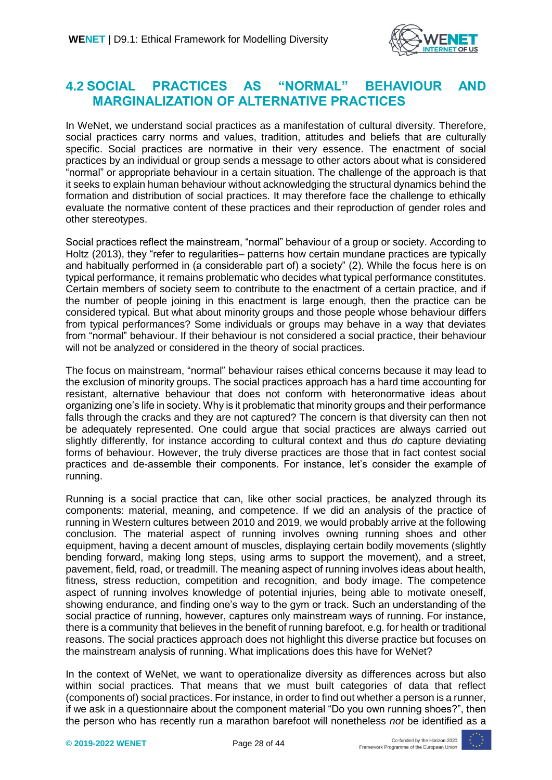

#### <span id="page-27-0"></span>**4.2 SOCIAL PRACTICES AS "NORMAL" BEHAVIOUR AND MARGINALIZATION OF ALTERNATIVE PRACTICES**

In WeNet, we understand social practices as a manifestation of cultural diversity. Therefore, social practices carry norms and values, tradition, attitudes and beliefs that are culturally specific. Social practices are normative in their very essence. The enactment of social practices by an individual or group sends a message to other actors about what is considered "normal" or appropriate behaviour in a certain situation. The challenge of the approach is that it seeks to explain human behaviour without acknowledging the structural dynamics behind the formation and distribution of social practices. It may therefore face the challenge to ethically evaluate the normative content of these practices and their reproduction of gender roles and other stereotypes.

Social practices reflect the mainstream, "normal" behaviour of a group or society. According to Holtz (2013), they "refer to regularities– patterns how certain mundane practices are typically and habitually performed in (a considerable part of) a society" (2). While the focus here is on typical performance, it remains problematic who decides what typical performance constitutes. Certain members of society seem to contribute to the enactment of a certain practice, and if the number of people joining in this enactment is large enough, then the practice can be considered typical. But what about minority groups and those people whose behaviour differs from typical performances? Some individuals or groups may behave in a way that deviates from "normal" behaviour. If their behaviour is not considered a social practice, their behaviour will not be analyzed or considered in the theory of social practices.

The focus on mainstream, "normal" behaviour raises ethical concerns because it may lead to the exclusion of minority groups. The social practices approach has a hard time accounting for resistant, alternative behaviour that does not conform with heteronormative ideas about organizing one's life in society. Why is it problematic that minority groups and their performance falls through the cracks and they are not captured? The concern is that diversity can then not be adequately represented. One could argue that social practices are always carried out slightly differently, for instance according to cultural context and thus *do* capture deviating forms of behaviour. However, the truly diverse practices are those that in fact contest social practices and de-assemble their components. For instance, let's consider the example of running.

Running is a social practice that can, like other social practices, be analyzed through its components: material, meaning, and competence. If we did an analysis of the practice of running in Western cultures between 2010 and 2019, we would probably arrive at the following conclusion. The material aspect of running involves owning running shoes and other equipment, having a decent amount of muscles, displaying certain bodily movements (slightly bending forward, making long steps, using arms to support the movement), and a street, pavement, field, road, or treadmill. The meaning aspect of running involves ideas about health, fitness, stress reduction, competition and recognition, and body image. The competence aspect of running involves knowledge of potential injuries, being able to motivate oneself, showing endurance, and finding one's way to the gym or track. Such an understanding of the social practice of running, however, captures only mainstream ways of running. For instance, there is a community that believes in the benefit of running barefoot, e.g. for health or traditional reasons. The social practices approach does not highlight this diverse practice but focuses on the mainstream analysis of running. What implications does this have for WeNet?

In the context of WeNet, we want to operationalize diversity as differences across but also within social practices. That means that we must built categories of data that reflect (components of) social practices. For instance, in order to find out whether a person is a runner, if we ask in a questionnaire about the component material "Do you own running shoes?", then the person who has recently run a marathon barefoot will nonetheless *not* be identified as a

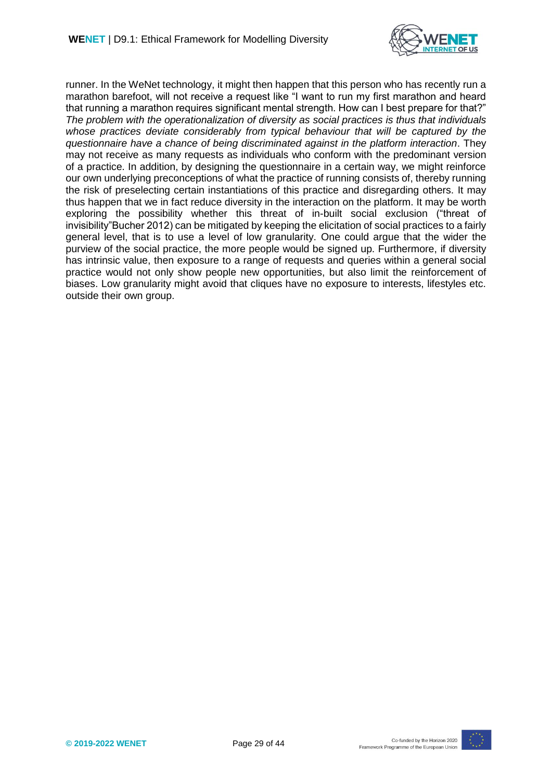

runner. In the WeNet technology, it might then happen that this person who has recently run a marathon barefoot, will not receive a request like "I want to run my first marathon and heard that running a marathon requires significant mental strength. How can I best prepare for that?" *The problem with the operationalization of diversity as social practices is thus that individuals whose practices deviate considerably from typical behaviour that will be captured by the questionnaire have a chance of being discriminated against in the platform interaction*. They may not receive as many requests as individuals who conform with the predominant version of a practice. In addition, by designing the questionnaire in a certain way, we might reinforce our own underlying preconceptions of what the practice of running consists of, thereby running the risk of preselecting certain instantiations of this practice and disregarding others. It may thus happen that we in fact reduce diversity in the interaction on the platform. It may be worth exploring the possibility whether this threat of in-built social exclusion ("threat of invisibility"Bucher 2012) can be mitigated by keeping the elicitation of social practices to a fairly general level, that is to use a level of low granularity. One could argue that the wider the purview of the social practice, the more people would be signed up. Furthermore, if diversity has intrinsic value, then exposure to a range of requests and queries within a general social practice would not only show people new opportunities, but also limit the reinforcement of biases. Low granularity might avoid that cliques have no exposure to interests, lifestyles etc. outside their own group.

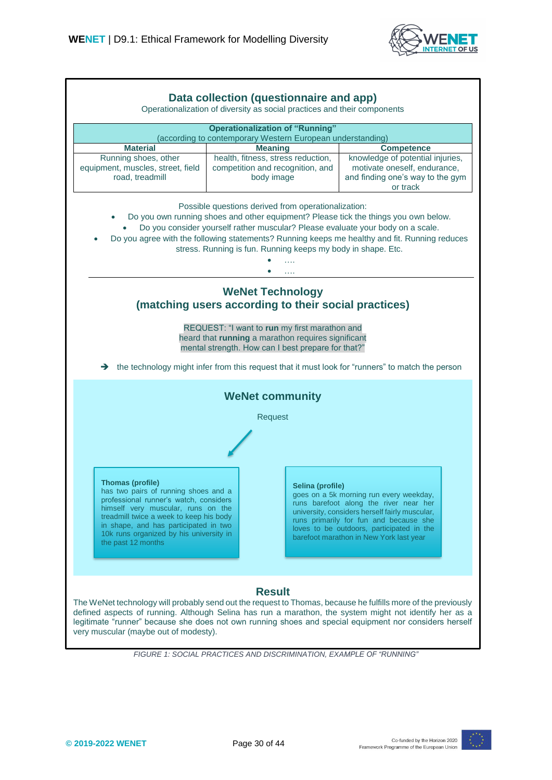



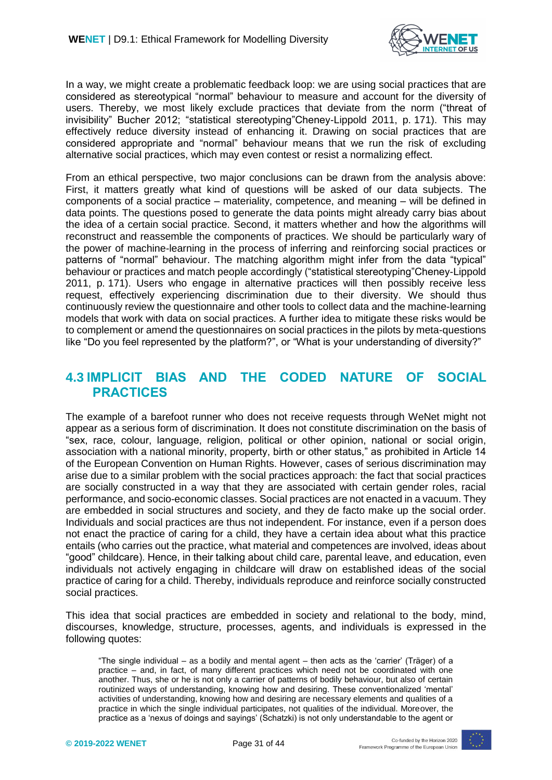

In a way, we might create a problematic feedback loop: we are using social practices that are considered as stereotypical "normal" behaviour to measure and account for the diversity of users. Thereby, we most likely exclude practices that deviate from the norm ("threat of invisibility" Bucher 2012; "statistical stereotyping"Cheney-Lippold 2011, p. 171). This may effectively reduce diversity instead of enhancing it. Drawing on social practices that are considered appropriate and "normal" behaviour means that we run the risk of excluding alternative social practices, which may even contest or resist a normalizing effect.

From an ethical perspective, two major conclusions can be drawn from the analysis above: First, it matters greatly what kind of questions will be asked of our data subjects. The components of a social practice – materiality, competence, and meaning – will be defined in data points. The questions posed to generate the data points might already carry bias about the idea of a certain social practice. Second, it matters whether and how the algorithms will reconstruct and reassemble the components of practices. We should be particularly wary of the power of machine-learning in the process of inferring and reinforcing social practices or patterns of "normal" behaviour. The matching algorithm might infer from the data "typical" behaviour or practices and match people accordingly ("statistical stereotyping"Cheney-Lippold 2011, p. 171). Users who engage in alternative practices will then possibly receive less request, effectively experiencing discrimination due to their diversity. We should thus continuously review the questionnaire and other tools to collect data and the machine-learning models that work with data on social practices. A further idea to mitigate these risks would be to complement or amend the questionnaires on social practices in the pilots by meta-questions like "Do you feel represented by the platform?", or "What is your understanding of diversity?"

#### <span id="page-30-0"></span>**4.3 IMPLICIT BIAS AND THE CODED NATURE OF SOCIAL PRACTICES**

The example of a barefoot runner who does not receive requests through WeNet might not appear as a serious form of discrimination. It does not constitute discrimination on the basis of "sex, race, colour, language, religion, political or other opinion, national or social origin, association with a national minority, property, birth or other status," as prohibited in Article 14 of the European Convention on Human Rights. However, cases of serious discrimination may arise due to a similar problem with the social practices approach: the fact that social practices are socially constructed in a way that they are associated with certain gender roles, racial performance, and socio-economic classes. Social practices are not enacted in a vacuum. They are embedded in social structures and society, and they de facto make up the social order. Individuals and social practices are thus not independent. For instance, even if a person does not enact the practice of caring for a child, they have a certain idea about what this practice entails (who carries out the practice, what material and competences are involved, ideas about "good" childcare). Hence, in their talking about child care, parental leave, and education, even individuals not actively engaging in childcare will draw on established ideas of the social practice of caring for a child. Thereby, individuals reproduce and reinforce socially constructed social practices.

This idea that social practices are embedded in society and relational to the body, mind, discourses, knowledge, structure, processes, agents, and individuals is expressed in the following quotes:

"The single individual – as a bodily and mental agent – then acts as the 'carrier' (Träger) of a practice – and, in fact, of many different practices which need not be coordinated with one another. Thus, she or he is not only a carrier of patterns of bodily behaviour, but also of certain routinized ways of understanding, knowing how and desiring. These conventionalized 'mental' activities of understanding, knowing how and desiring are necessary elements and qualities of a practice in which the single individual participates, not qualities of the individual. Moreover, the practice as a 'nexus of doings and sayings' (Schatzki) is not only understandable to the agent or

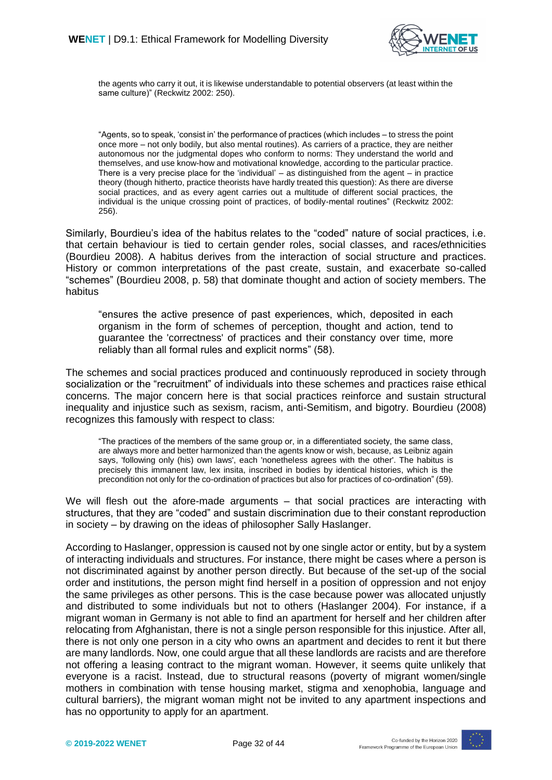

the agents who carry it out, it is likewise understandable to potential observers (at least within the same culture)" (Reckwitz 2002: 250).

"Agents, so to speak, 'consist in' the performance of practices (which includes – to stress the point once more – not only bodily, but also mental routines). As carriers of a practice, they are neither autonomous nor the judgmental dopes who conform to norms: They understand the world and themselves, and use know-how and motivational knowledge, according to the particular practice. There is a very precise place for the 'individual' – as distinguished from the agent – in practice theory (though hitherto, practice theorists have hardly treated this question): As there are diverse social practices, and as every agent carries out a multitude of different social practices, the individual is the unique crossing point of practices, of bodily-mental routines" (Reckwitz 2002: 256).

Similarly, Bourdieu's idea of the habitus relates to the "coded" nature of social practices, i.e. that certain behaviour is tied to certain gender roles, social classes, and races/ethnicities (Bourdieu 2008). A habitus derives from the interaction of social structure and practices. History or common interpretations of the past create, sustain, and exacerbate so-called "schemes" (Bourdieu 2008, p. 58) that dominate thought and action of society members. The habitus

"ensures the active presence of past experiences, which, deposited in each organism in the form of schemes of perception, thought and action, tend to guarantee the 'correctness' of practices and their constancy over time, more reliably than all formal rules and explicit norms" (58).

The schemes and social practices produced and continuously reproduced in society through socialization or the "recruitment" of individuals into these schemes and practices raise ethical concerns. The major concern here is that social practices reinforce and sustain structural inequality and injustice such as sexism, racism, anti-Semitism, and bigotry. Bourdieu (2008) recognizes this famously with respect to class:

"The practices of the members of the same group or, in a differentiated society, the same class, are always more and better harmonized than the agents know or wish, because, as Leibniz again says, 'following only (his) own laws', each 'nonetheless agrees with the other'. The habitus is precisely this immanent law, lex insita, inscribed in bodies by identical histories, which is the precondition not only for the co-ordination of practices but also for practices of co-ordination" (59).

We will flesh out the afore-made arguments – that social practices are interacting with structures, that they are "coded" and sustain discrimination due to their constant reproduction in society – by drawing on the ideas of philosopher Sally Haslanger.

According to Haslanger, oppression is caused not by one single actor or entity, but by a system of interacting individuals and structures. For instance, there might be cases where a person is not discriminated against by another person directly. But because of the set-up of the social order and institutions, the person might find herself in a position of oppression and not enjoy the same privileges as other persons. This is the case because power was allocated unjustly and distributed to some individuals but not to others (Haslanger 2004). For instance, if a migrant woman in Germany is not able to find an apartment for herself and her children after relocating from Afghanistan, there is not a single person responsible for this injustice. After all, there is not only one person in a city who owns an apartment and decides to rent it but there are many landlords. Now, one could argue that all these landlords are racists and are therefore not offering a leasing contract to the migrant woman. However, it seems quite unlikely that everyone is a racist. Instead, due to structural reasons (poverty of migrant women/single mothers in combination with tense housing market, stigma and xenophobia, language and cultural barriers), the migrant woman might not be invited to any apartment inspections and has no opportunity to apply for an apartment.

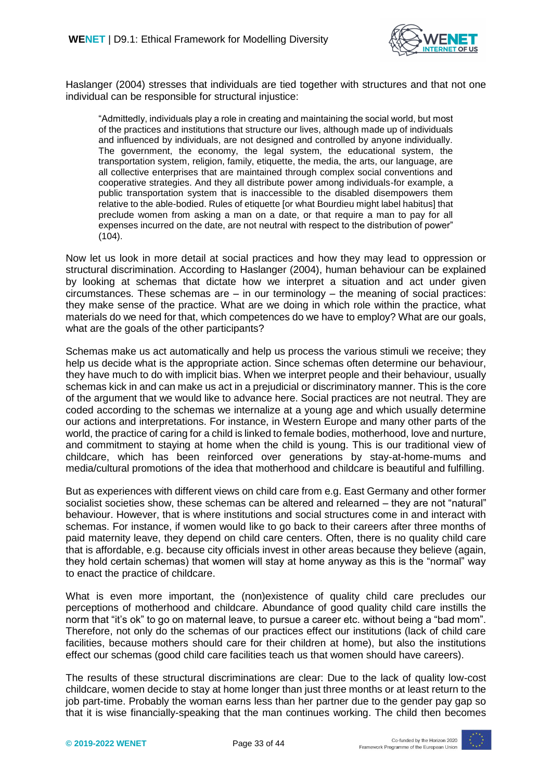

Haslanger (2004) stresses that individuals are tied together with structures and that not one individual can be responsible for structural injustice:

"Admittedly, individuals play a role in creating and maintaining the social world, but most of the practices and institutions that structure our lives, although made up of individuals and influenced by individuals, are not designed and controlled by anyone individually. The government, the economy, the legal system, the educational system, the transportation system, religion, family, etiquette, the media, the arts, our language, are all collective enterprises that are maintained through complex social conventions and cooperative strategies. And they all distribute power among individuals-for example, a public transportation system that is inaccessible to the disabled disempowers them relative to the able-bodied. Rules of etiquette [or what Bourdieu might label habitus] that preclude women from asking a man on a date, or that require a man to pay for all expenses incurred on the date, are not neutral with respect to the distribution of power" (104).

Now let us look in more detail at social practices and how they may lead to oppression or structural discrimination. According to Haslanger (2004), human behaviour can be explained by looking at schemas that dictate how we interpret a situation and act under given circumstances. These schemas are  $-$  in our terminology  $-$  the meaning of social practices: they make sense of the practice. What are we doing in which role within the practice, what materials do we need for that, which competences do we have to employ? What are our goals, what are the goals of the other participants?

Schemas make us act automatically and help us process the various stimuli we receive; they help us decide what is the appropriate action. Since schemas often determine our behaviour, they have much to do with implicit bias. When we interpret people and their behaviour, usually schemas kick in and can make us act in a prejudicial or discriminatory manner. This is the core of the argument that we would like to advance here. Social practices are not neutral. They are coded according to the schemas we internalize at a young age and which usually determine our actions and interpretations. For instance, in Western Europe and many other parts of the world, the practice of caring for a child is linked to female bodies, motherhood, love and nurture, and commitment to staying at home when the child is young. This is our traditional view of childcare, which has been reinforced over generations by stay-at-home-mums and media/cultural promotions of the idea that motherhood and childcare is beautiful and fulfilling.

But as experiences with different views on child care from e.g. East Germany and other former socialist societies show, these schemas can be altered and relearned – they are not "natural" behaviour. However, that is where institutions and social structures come in and interact with schemas. For instance, if women would like to go back to their careers after three months of paid maternity leave, they depend on child care centers. Often, there is no quality child care that is affordable, e.g. because city officials invest in other areas because they believe (again, they hold certain schemas) that women will stay at home anyway as this is the "normal" way to enact the practice of childcare.

What is even more important, the (non)existence of quality child care precludes our perceptions of motherhood and childcare. Abundance of good quality child care instills the norm that "it's ok" to go on maternal leave, to pursue a career etc. without being a "bad mom". Therefore, not only do the schemas of our practices effect our institutions (lack of child care facilities, because mothers should care for their children at home), but also the institutions effect our schemas (good child care facilities teach us that women should have careers).

The results of these structural discriminations are clear: Due to the lack of quality low-cost childcare, women decide to stay at home longer than just three months or at least return to the job part-time. Probably the woman earns less than her partner due to the gender pay gap so that it is wise financially-speaking that the man continues working. The child then becomes

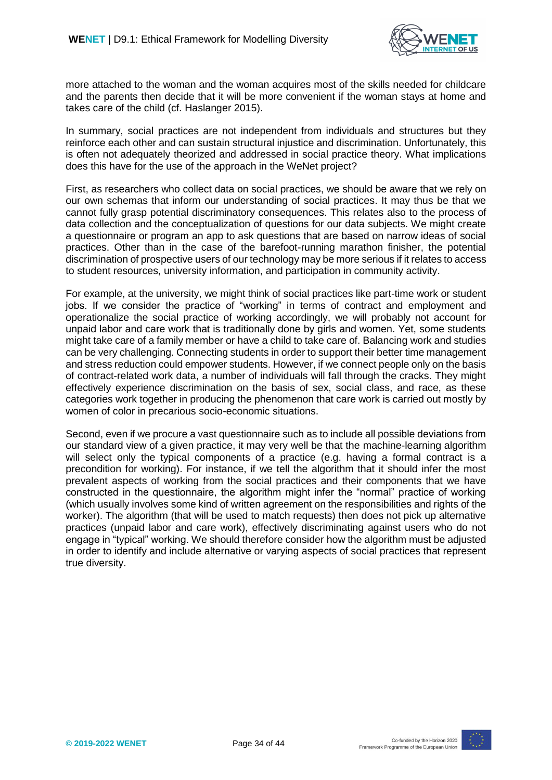

more attached to the woman and the woman acquires most of the skills needed for childcare and the parents then decide that it will be more convenient if the woman stays at home and takes care of the child (cf. Haslanger 2015).

In summary, social practices are not independent from individuals and structures but they reinforce each other and can sustain structural injustice and discrimination. Unfortunately, this is often not adequately theorized and addressed in social practice theory. What implications does this have for the use of the approach in the WeNet project?

First, as researchers who collect data on social practices, we should be aware that we rely on our own schemas that inform our understanding of social practices. It may thus be that we cannot fully grasp potential discriminatory consequences. This relates also to the process of data collection and the conceptualization of questions for our data subjects. We might create a questionnaire or program an app to ask questions that are based on narrow ideas of social practices. Other than in the case of the barefoot-running marathon finisher, the potential discrimination of prospective users of our technology may be more serious if it relates to access to student resources, university information, and participation in community activity.

For example, at the university, we might think of social practices like part-time work or student jobs. If we consider the practice of "working" in terms of contract and employment and operationalize the social practice of working accordingly, we will probably not account for unpaid labor and care work that is traditionally done by girls and women. Yet, some students might take care of a family member or have a child to take care of. Balancing work and studies can be very challenging. Connecting students in order to support their better time management and stress reduction could empower students. However, if we connect people only on the basis of contract-related work data, a number of individuals will fall through the cracks. They might effectively experience discrimination on the basis of sex, social class, and race, as these categories work together in producing the phenomenon that care work is carried out mostly by women of color in precarious socio-economic situations.

Second, even if we procure a vast questionnaire such as to include all possible deviations from our standard view of a given practice, it may very well be that the machine-learning algorithm will select only the typical components of a practice (e.g. having a formal contract is a precondition for working). For instance, if we tell the algorithm that it should infer the most prevalent aspects of working from the social practices and their components that we have constructed in the questionnaire, the algorithm might infer the "normal" practice of working (which usually involves some kind of written agreement on the responsibilities and rights of the worker). The algorithm (that will be used to match requests) then does not pick up alternative practices (unpaid labor and care work), effectively discriminating against users who do not engage in "typical" working. We should therefore consider how the algorithm must be adjusted in order to identify and include alternative or varying aspects of social practices that represent true diversity.

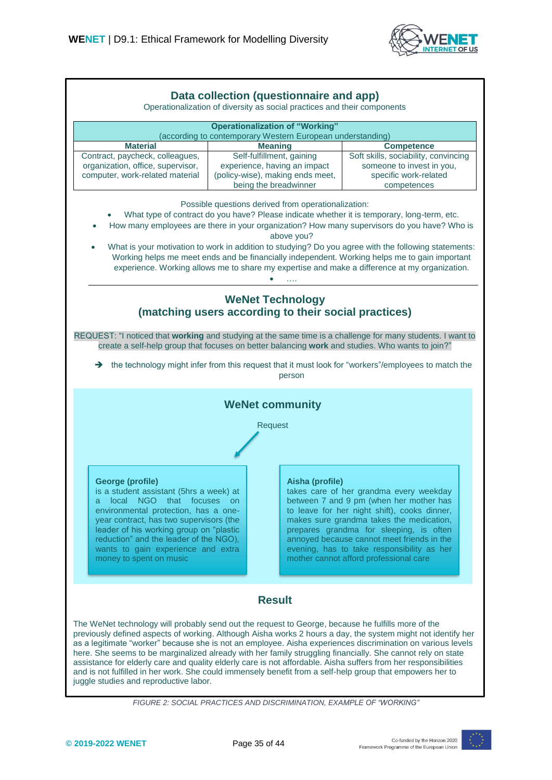

| Data collection (questionnaire and app)<br>Operationalization of diversity as social practices and their components                                                                                                                                                                                                                                                                                                                                                                                                                                                                                                                                                                                                                                                                                                                                                                                                                                                                                                                                      |                                                                                                                 |                                                                                                                                                                                                                                                                                                                                                                 |  |
|----------------------------------------------------------------------------------------------------------------------------------------------------------------------------------------------------------------------------------------------------------------------------------------------------------------------------------------------------------------------------------------------------------------------------------------------------------------------------------------------------------------------------------------------------------------------------------------------------------------------------------------------------------------------------------------------------------------------------------------------------------------------------------------------------------------------------------------------------------------------------------------------------------------------------------------------------------------------------------------------------------------------------------------------------------|-----------------------------------------------------------------------------------------------------------------|-----------------------------------------------------------------------------------------------------------------------------------------------------------------------------------------------------------------------------------------------------------------------------------------------------------------------------------------------------------------|--|
| <b>Operationalization of "Working"</b>                                                                                                                                                                                                                                                                                                                                                                                                                                                                                                                                                                                                                                                                                                                                                                                                                                                                                                                                                                                                                   |                                                                                                                 |                                                                                                                                                                                                                                                                                                                                                                 |  |
| (according to contemporary Western European understanding)                                                                                                                                                                                                                                                                                                                                                                                                                                                                                                                                                                                                                                                                                                                                                                                                                                                                                                                                                                                               |                                                                                                                 |                                                                                                                                                                                                                                                                                                                                                                 |  |
| <b>Material</b><br>Contract, paycheck, colleagues,<br>organization, office, supervisor,<br>computer, work-related material                                                                                                                                                                                                                                                                                                                                                                                                                                                                                                                                                                                                                                                                                                                                                                                                                                                                                                                               | <b>Meaning</b><br>Self-fulfillment, gaining<br>experience, having an impact<br>(policy-wise), making ends meet, | <b>Competence</b><br>Soft skills, sociability, convincing<br>someone to invest in you,<br>specific work-related                                                                                                                                                                                                                                                 |  |
| being the breadwinner<br>competences<br>Possible questions derived from operationalization:<br>What type of contract do you have? Please indicate whether it is temporary, long-term, etc.<br>How many employees are there in your organization? How many supervisors do you have? Who is<br>above you?<br>What is your motivation to work in addition to studying? Do you agree with the following statements:<br>$\bullet$<br>Working helps me meet ends and be financially independent. Working helps me to gain important<br>experience. Working allows me to share my expertise and make a difference at my organization.<br><b>WeNet Technology</b><br>(matching users according to their social practices)<br>REQUEST: "I noticed that working and studying at the same time is a challenge for many students. I want to<br>create a self-help group that focuses on better balancing work and studies. Who wants to join?"<br>the technology might infer from this request that it must look for "workers"/employees to match the<br>→<br>person |                                                                                                                 |                                                                                                                                                                                                                                                                                                                                                                 |  |
| <b>WeNet community</b><br>Request                                                                                                                                                                                                                                                                                                                                                                                                                                                                                                                                                                                                                                                                                                                                                                                                                                                                                                                                                                                                                        |                                                                                                                 |                                                                                                                                                                                                                                                                                                                                                                 |  |
| George (profile)<br>is a student assistant (5hrs a week) at<br>local NGO that focuses on<br>a<br>environmental protection, has a one-<br>year contract, has two supervisors (the<br>leader of his working group on "plastic<br>reduction" and the leader of the NGO),<br>wants to gain experience and extra<br>money to spent on music                                                                                                                                                                                                                                                                                                                                                                                                                                                                                                                                                                                                                                                                                                                   | Aisha (profile)                                                                                                 | takes care of her grandma every weekday<br>between 7 and 9 pm (when her mother has<br>to leave for her night shift), cooks dinner,<br>makes sure grandma takes the medication,<br>prepares grandma for sleeping, is often<br>annoyed because cannot meet friends in the<br>evening, has to take responsibility as her<br>mother cannot afford professional care |  |
| <b>Result</b><br>The WeNet technology will probably send out the request to George, because he fulfills more of the                                                                                                                                                                                                                                                                                                                                                                                                                                                                                                                                                                                                                                                                                                                                                                                                                                                                                                                                      |                                                                                                                 |                                                                                                                                                                                                                                                                                                                                                                 |  |
| previously defined aspects of working. Although Aisha works 2 hours a day, the system might not identify her<br>as a legitimate "worker" because she is not an employee. Aisha experiences discrimination on various levels<br>here. She seems to be marginalized already with her family struggling financially. She cannot rely on state<br>assistance for elderly care and quality elderly care is not affordable. Aisha suffers from her responsibilities<br>and is not fulfilled in her work. She could immensely benefit from a self-help group that empowers her to<br>juggle studies and reproductive labor.                                                                                                                                                                                                                                                                                                                                                                                                                                     |                                                                                                                 |                                                                                                                                                                                                                                                                                                                                                                 |  |

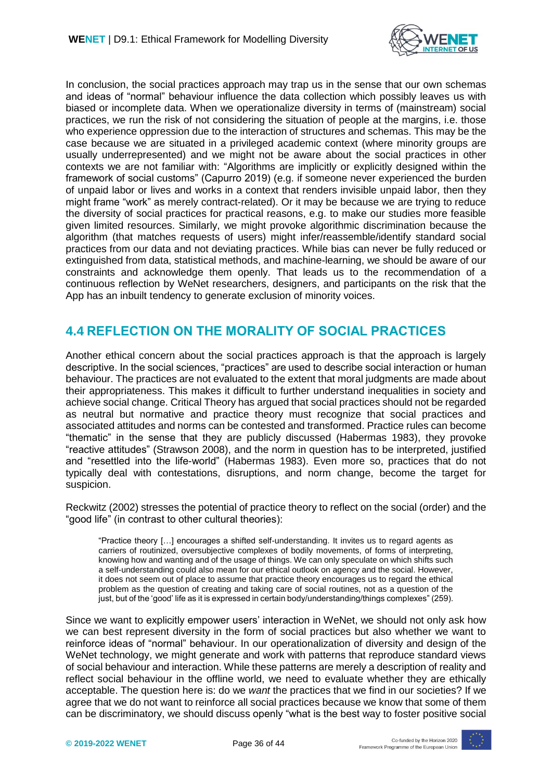

In conclusion, the social practices approach may trap us in the sense that our own schemas and ideas of "normal" behaviour influence the data collection which possibly leaves us with biased or incomplete data. When we operationalize diversity in terms of (mainstream) social practices, we run the risk of not considering the situation of people at the margins, i.e. those who experience oppression due to the interaction of structures and schemas. This may be the case because we are situated in a privileged academic context (where minority groups are usually underrepresented) and we might not be aware about the social practices in other contexts we are not familiar with: "Algorithms are implicitly or explicitly designed within the framework of social customs" (Capurro 2019) (e.g. if someone never experienced the burden of unpaid labor or lives and works in a context that renders invisible unpaid labor, then they might frame "work" as merely contract-related). Or it may be because we are trying to reduce the diversity of social practices for practical reasons, e.g. to make our studies more feasible given limited resources. Similarly, we might provoke algorithmic discrimination because the algorithm (that matches requests of users) might infer/reassemble/identify standard social practices from our data and not deviating practices. While bias can never be fully reduced or extinguished from data, statistical methods, and machine-learning, we should be aware of our constraints and acknowledge them openly. That leads us to the recommendation of a continuous reflection by WeNet researchers, designers, and participants on the risk that the App has an inbuilt tendency to generate exclusion of minority voices.

### <span id="page-35-0"></span>**4.4 REFLECTION ON THE MORALITY OF SOCIAL PRACTICES**

Another ethical concern about the social practices approach is that the approach is largely descriptive. In the social sciences, "practices" are used to describe social interaction or human behaviour. The practices are not evaluated to the extent that moral judgments are made about their appropriateness. This makes it difficult to further understand inequalities in society and achieve social change. Critical Theory has argued that social practices should not be regarded as neutral but normative and practice theory must recognize that social practices and associated attitudes and norms can be contested and transformed. Practice rules can become "thematic" in the sense that they are publicly discussed (Habermas 1983), they provoke "reactive attitudes" (Strawson 2008), and the norm in question has to be interpreted, justified and "resettled into the life-world" (Habermas 1983). Even more so, practices that do not typically deal with contestations, disruptions, and norm change, become the target for suspicion.

Reckwitz (2002) stresses the potential of practice theory to reflect on the social (order) and the "good life" (in contrast to other cultural theories):

"Practice theory […] encourages a shifted self-understanding. It invites us to regard agents as carriers of routinized, oversubjective complexes of bodily movements, of forms of interpreting, knowing how and wanting and of the usage of things. We can only speculate on which shifts such a self-understanding could also mean for our ethical outlook on agency and the social. However, it does not seem out of place to assume that practice theory encourages us to regard the ethical problem as the question of creating and taking care of social routines, not as a question of the just, but of the 'good' life as it is expressed in certain body/understanding/things complexes" (259).

Since we want to explicitly empower users' interaction in WeNet, we should not only ask how we can best represent diversity in the form of social practices but also whether we want to reinforce ideas of "normal" behaviour. In our operationalization of diversity and design of the WeNet technology, we might generate and work with patterns that reproduce standard views of social behaviour and interaction. While these patterns are merely a description of reality and reflect social behaviour in the offline world, we need to evaluate whether they are ethically acceptable. The question here is: do we *want* the practices that we find in our societies? If we agree that we do not want to reinforce all social practices because we know that some of them can be discriminatory, we should discuss openly "what is the best way to foster positive social

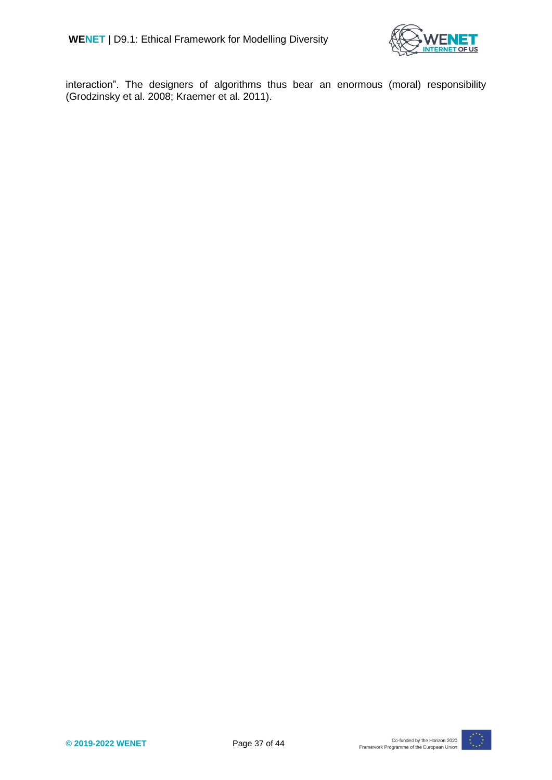

interaction". The designers of algorithms thus bear an enormous (moral) responsibility (Grodzinsky et al. 2008; Kraemer et al. 2011).

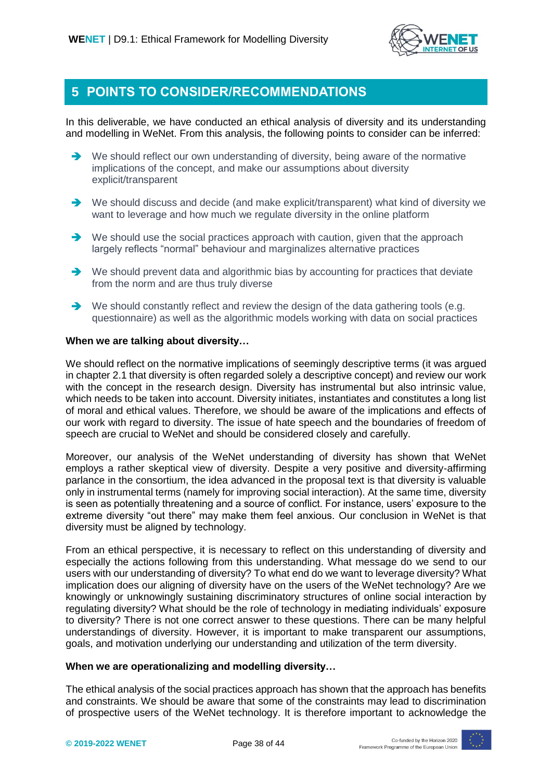

#### <span id="page-37-0"></span>**5 POINTS TO CONSIDER/RECOMMENDATIONS**

In this deliverable, we have conducted an ethical analysis of diversity and its understanding and modelling in WeNet. From this analysis, the following points to consider can be inferred:

- $\rightarrow$  We should reflect our own understanding of diversity, being aware of the normative implications of the concept, and make our assumptions about diversity explicit/transparent
- → We should discuss and decide (and make explicit/transparent) what kind of diversity we want to leverage and how much we regulate diversity in the online platform
- We should use the social practices approach with caution, given that the approach largely reflects "normal" behaviour and marginalizes alternative practices
- $\rightarrow$  We should prevent data and algorithmic bias by accounting for practices that deviate from the norm and are thus truly diverse
- $\rightarrow$  We should constantly reflect and review the design of the data gathering tools (e.g. questionnaire) as well as the algorithmic models working with data on social practices

#### **When we are talking about diversity…**

We should reflect on the normative implications of seemingly descriptive terms (it was argued in chapter 2.1 that diversity is often regarded solely a descriptive concept) and review our work with the concept in the research design. Diversity has instrumental but also intrinsic value, which needs to be taken into account. Diversity initiates, instantiates and constitutes a long list of moral and ethical values. Therefore, we should be aware of the implications and effects of our work with regard to diversity. The issue of hate speech and the boundaries of freedom of speech are crucial to WeNet and should be considered closely and carefully.

Moreover, our analysis of the WeNet understanding of diversity has shown that WeNet employs a rather skeptical view of diversity. Despite a very positive and diversity-affirming parlance in the consortium, the idea advanced in the proposal text is that diversity is valuable only in instrumental terms (namely for improving social interaction). At the same time, diversity is seen as potentially threatening and a source of conflict. For instance, users' exposure to the extreme diversity "out there" may make them feel anxious. Our conclusion in WeNet is that diversity must be aligned by technology.

From an ethical perspective, it is necessary to reflect on this understanding of diversity and especially the actions following from this understanding. What message do we send to our users with our understanding of diversity? To what end do we want to leverage diversity? What implication does our aligning of diversity have on the users of the WeNet technology? Are we knowingly or unknowingly sustaining discriminatory structures of online social interaction by regulating diversity? What should be the role of technology in mediating individuals' exposure to diversity? There is not one correct answer to these questions. There can be many helpful understandings of diversity. However, it is important to make transparent our assumptions, goals, and motivation underlying our understanding and utilization of the term diversity.

#### **When we are operationalizing and modelling diversity…**

The ethical analysis of the social practices approach has shown that the approach has benefits and constraints. We should be aware that some of the constraints may lead to discrimination of prospective users of the WeNet technology. It is therefore important to acknowledge the

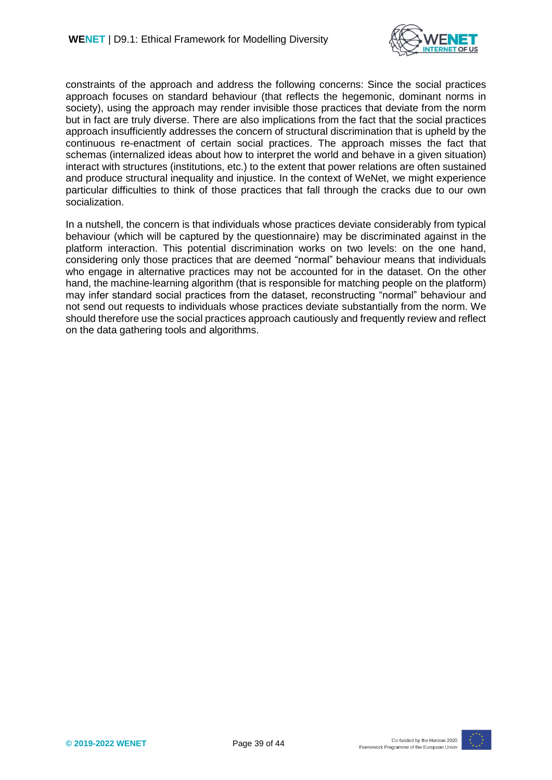

constraints of the approach and address the following concerns: Since the social practices approach focuses on standard behaviour (that reflects the hegemonic, dominant norms in society), using the approach may render invisible those practices that deviate from the norm but in fact are truly diverse. There are also implications from the fact that the social practices approach insufficiently addresses the concern of structural discrimination that is upheld by the continuous re-enactment of certain social practices. The approach misses the fact that schemas (internalized ideas about how to interpret the world and behave in a given situation) interact with structures (institutions, etc.) to the extent that power relations are often sustained and produce structural inequality and injustice. In the context of WeNet, we might experience particular difficulties to think of those practices that fall through the cracks due to our own socialization.

In a nutshell, the concern is that individuals whose practices deviate considerably from typical behaviour (which will be captured by the questionnaire) may be discriminated against in the platform interaction. This potential discrimination works on two levels: on the one hand, considering only those practices that are deemed "normal" behaviour means that individuals who engage in alternative practices may not be accounted for in the dataset. On the other hand, the machine-learning algorithm (that is responsible for matching people on the platform) may infer standard social practices from the dataset, reconstructing "normal" behaviour and not send out requests to individuals whose practices deviate substantially from the norm. We should therefore use the social practices approach cautiously and frequently review and reflect on the data gathering tools and algorithms.

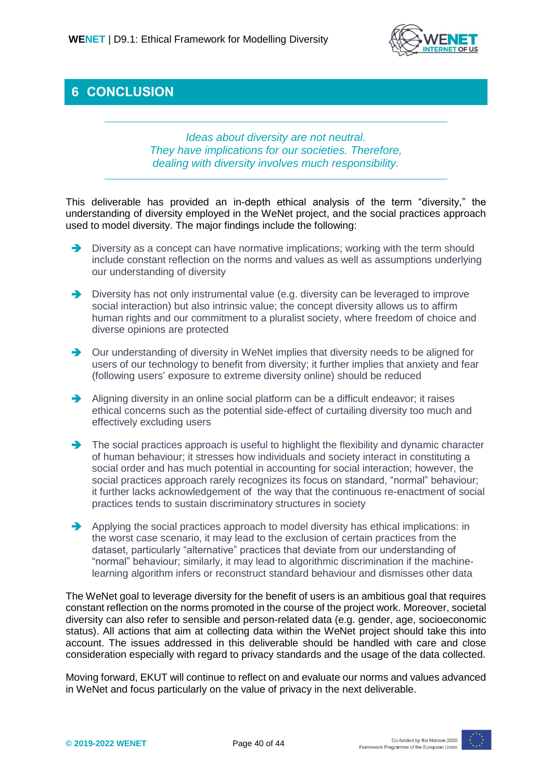

## <span id="page-39-0"></span>**6 CONCLUSION**

*Ideas about diversity are not neutral. They have implications for our societies. Therefore, dealing with diversity involves much responsibility.* 

This deliverable has provided an in-depth ethical analysis of the term "diversity," the understanding of diversity employed in the WeNet project, and the social practices approach used to model diversity. The major findings include the following:

- Diversity as a concept can have normative implications; working with the term should include constant reflection on the norms and values as well as assumptions underlying our understanding of diversity
- Diversity has not only instrumental value (e.g. diversity can be leveraged to improve social interaction) but also intrinsic value; the concept diversity allows us to affirm human rights and our commitment to a pluralist society, where freedom of choice and diverse opinions are protected
- $\rightarrow$  Our understanding of diversity in WeNet implies that diversity needs to be aligned for users of our technology to benefit from diversity; it further implies that anxiety and fear (following users' exposure to extreme diversity online) should be reduced
- Aligning diversity in an online social platform can be a difficult endeavor; it raises ethical concerns such as the potential side-effect of curtailing diversity too much and effectively excluding users
- The social practices approach is useful to highlight the flexibility and dynamic character of human behaviour; it stresses how individuals and society interact in constituting a social order and has much potential in accounting for social interaction; however, the social practices approach rarely recognizes its focus on standard, "normal" behaviour; it further lacks acknowledgement of the way that the continuous re-enactment of social practices tends to sustain discriminatory structures in society
- $\rightarrow$  Applying the social practices approach to model diversity has ethical implications: in the worst case scenario, it may lead to the exclusion of certain practices from the dataset, particularly "alternative" practices that deviate from our understanding of "normal" behaviour; similarly, it may lead to algorithmic discrimination if the machinelearning algorithm infers or reconstruct standard behaviour and dismisses other data

The WeNet goal to leverage diversity for the benefit of users is an ambitious goal that requires constant reflection on the norms promoted in the course of the project work. Moreover, societal diversity can also refer to sensible and person-related data (e.g. gender, age, socioeconomic status). All actions that aim at collecting data within the WeNet project should take this into account. The issues addressed in this deliverable should be handled with care and close consideration especially with regard to privacy standards and the usage of the data collected.

Moving forward, EKUT will continue to reflect on and evaluate our norms and values advanced in WeNet and focus particularly on the value of privacy in the next deliverable.

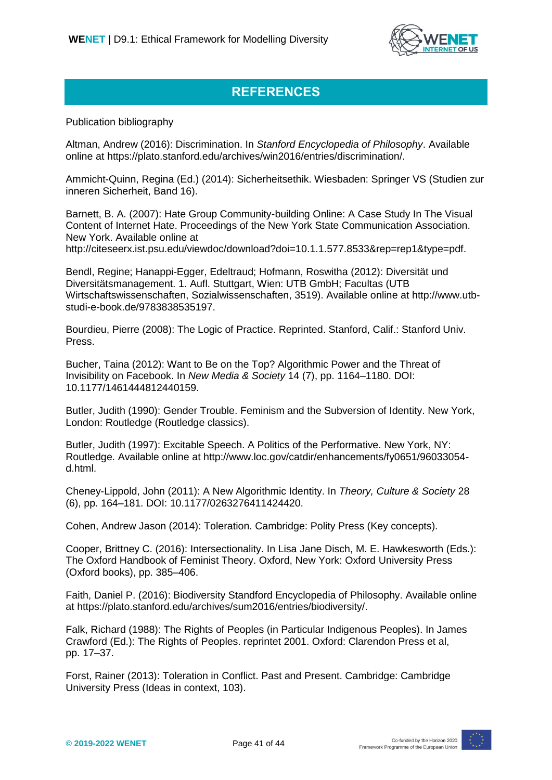

# **REFERENCES**

Publication bibliography

Altman, Andrew (2016): Discrimination. In *Stanford Encyclopedia of Philosophy*. Available online at https://plato.stanford.edu/archives/win2016/entries/discrimination/.

Ammicht-Quinn, Regina (Ed.) (2014): Sicherheitsethik. Wiesbaden: Springer VS (Studien zur inneren Sicherheit, Band 16).

Barnett, B. A. (2007): Hate Group Community-building Online: A Case Study In The Visual Content of Internet Hate. Proceedings of the New York State Communication Association. New York. Available online at

http://citeseerx.ist.psu.edu/viewdoc/download?doi=10.1.1.577.8533&rep=rep1&type=pdf.

Bendl, Regine; Hanappi-Egger, Edeltraud; Hofmann, Roswitha (2012): Diversität und Diversitätsmanagement. 1. Aufl. Stuttgart, Wien: UTB GmbH; Facultas (UTB Wirtschaftswissenschaften, Sozialwissenschaften, 3519). Available online at http://www.utbstudi-e-book.de/9783838535197.

Bourdieu, Pierre (2008): The Logic of Practice. Reprinted. Stanford, Calif.: Stanford Univ. Press.

Bucher, Taina (2012): Want to Be on the Top? Algorithmic Power and the Threat of Invisibility on Facebook. In *New Media & Society* 14 (7), pp. 1164–1180. DOI: 10.1177/1461444812440159.

Butler, Judith (1990): Gender Trouble. Feminism and the Subversion of Identity. New York, London: Routledge (Routledge classics).

Butler, Judith (1997): Excitable Speech. A Politics of the Performative. New York, NY: Routledge. Available online at http://www.loc.gov/catdir/enhancements/fy0651/96033054 d.html.

Cheney-Lippold, John (2011): A New Algorithmic Identity. In *Theory, Culture & Society* 28 (6), pp. 164–181. DOI: 10.1177/0263276411424420.

Cohen, Andrew Jason (2014): Toleration. Cambridge: Polity Press (Key concepts).

Cooper, Brittney C. (2016): Intersectionality. In Lisa Jane Disch, M. E. Hawkesworth (Eds.): The Oxford Handbook of Feminist Theory. Oxford, New York: Oxford University Press (Oxford books), pp. 385–406.

Faith, Daniel P. (2016): Biodiversity Standford Encyclopedia of Philosophy. Available online at https://plato.stanford.edu/archives/sum2016/entries/biodiversity/.

Falk, Richard (1988): The Rights of Peoples (in Particular Indigenous Peoples). In James Crawford (Ed.): The Rights of Peoples. reprintet 2001. Oxford: Clarendon Press et al, pp. 17–37.

Forst, Rainer (2013): Toleration in Conflict. Past and Present. Cambridge: Cambridge University Press (Ideas in context, 103).

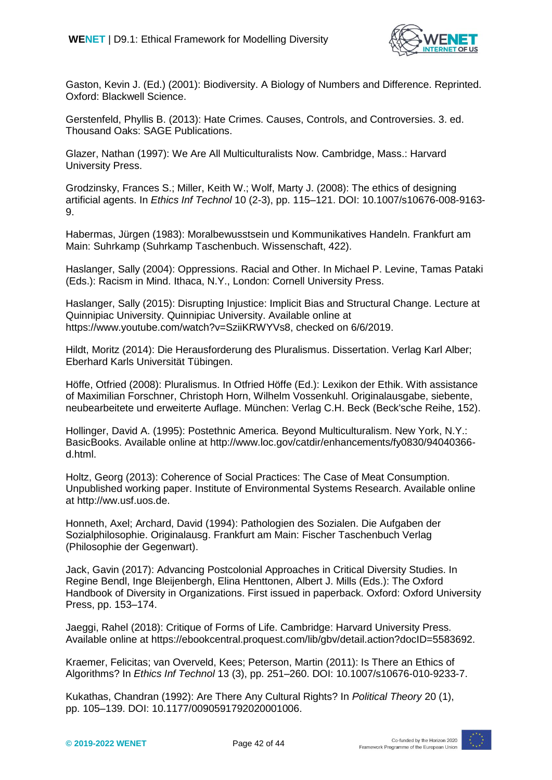

Gaston, Kevin J. (Ed.) (2001): Biodiversity. A Biology of Numbers and Difference. Reprinted. Oxford: Blackwell Science.

Gerstenfeld, Phyllis B. (2013): Hate Crimes. Causes, Controls, and Controversies. 3. ed. Thousand Oaks: SAGE Publications.

Glazer, Nathan (1997): We Are All Multiculturalists Now. Cambridge, Mass.: Harvard University Press.

Grodzinsky, Frances S.; Miller, Keith W.; Wolf, Marty J. (2008): The ethics of designing artificial agents. In *Ethics Inf Technol* 10 (2-3), pp. 115–121. DOI: 10.1007/s10676-008-9163- 9.

Habermas, Jürgen (1983): Moralbewusstsein und Kommunikatives Handeln. Frankfurt am Main: Suhrkamp (Suhrkamp Taschenbuch. Wissenschaft, 422).

Haslanger, Sally (2004): Oppressions. Racial and Other. In Michael P. Levine, Tamas Pataki (Eds.): Racism in Mind. Ithaca, N.Y., London: Cornell University Press.

Haslanger, Sally (2015): Disrupting Injustice: Implicit Bias and Structural Change. Lecture at Quinnipiac University. Quinnipiac University. Available online at https://www.youtube.com/watch?v=SziiKRWYVs8, checked on 6/6/2019.

Hildt, Moritz (2014): Die Herausforderung des Pluralismus. Dissertation. Verlag Karl Alber; Eberhard Karls Universität Tübingen.

Höffe, Otfried (2008): Pluralismus. In Otfried Höffe (Ed.): Lexikon der Ethik. With assistance of Maximilian Forschner, Christoph Horn, Wilhelm Vossenkuhl. Originalausgabe, siebente, neubearbeitete und erweiterte Auflage. München: Verlag C.H. Beck (Beck'sche Reihe, 152).

Hollinger, David A. (1995): Postethnic America. Beyond Multiculturalism. New York, N.Y.: BasicBooks. Available online at http://www.loc.gov/catdir/enhancements/fy0830/94040366 d.html.

Holtz, Georg (2013): Coherence of Social Practices: The Case of Meat Consumption. Unpublished working paper. Institute of Environmental Systems Research. Available online at http://ww.usf.uos.de.

Honneth, Axel; Archard, David (1994): Pathologien des Sozialen. Die Aufgaben der Sozialphilosophie. Originalausg. Frankfurt am Main: Fischer Taschenbuch Verlag (Philosophie der Gegenwart).

Jack, Gavin (2017): Advancing Postcolonial Approaches in Critical Diversity Studies. In Regine Bendl, Inge Bleijenbergh, Elina Henttonen, Albert J. Mills (Eds.): The Oxford Handbook of Diversity in Organizations. First issued in paperback. Oxford: Oxford University Press, pp. 153–174.

Jaeggi, Rahel (2018): Critique of Forms of Life. Cambridge: Harvard University Press. Available online at https://ebookcentral.proquest.com/lib/gbv/detail.action?docID=5583692.

Kraemer, Felicitas; van Overveld, Kees; Peterson, Martin (2011): Is There an Ethics of Algorithms? In *Ethics Inf Technol* 13 (3), pp. 251–260. DOI: 10.1007/s10676-010-9233-7.

Kukathas, Chandran (1992): Are There Any Cultural Rights? In *Political Theory* 20 (1), pp. 105–139. DOI: 10.1177/0090591792020001006.

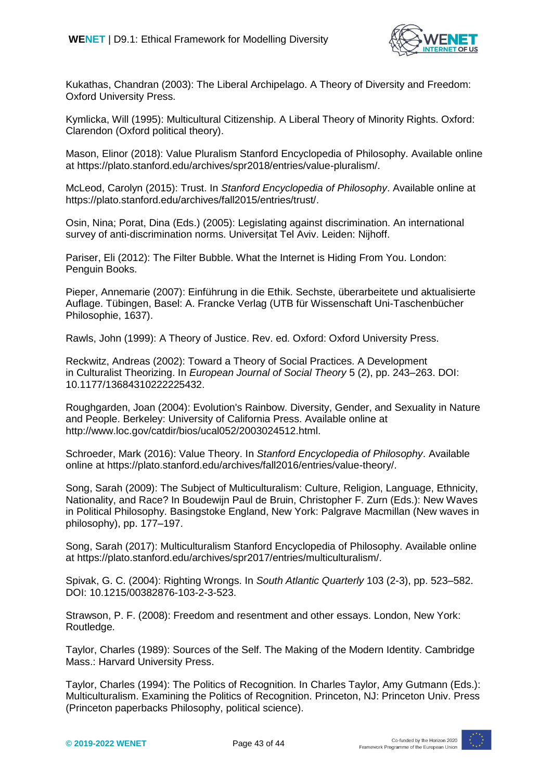

Kukathas, Chandran (2003): The Liberal Archipelago. A Theory of Diversity and Freedom: Oxford University Press.

Kymlicka, Will (1995): Multicultural Citizenship. A Liberal Theory of Minority Rights. Oxford: Clarendon (Oxford political theory).

Mason, Elinor (2018): Value Pluralism Stanford Encyclopedia of Philosophy. Available online at https://plato.stanford.edu/archives/spr2018/entries/value-pluralism/.

McLeod, Carolyn (2015): Trust. In *Stanford Encyclopedia of Philosophy*. Available online at https://plato.stanford.edu/archives/fall2015/entries/trust/.

Osin, Nina; Porat, Dina (Eds.) (2005): Legislating against discrimination. An international survey of anti-discrimination norms. Universitat Tel Aviv. Leiden: Nijhoff.

Pariser, Eli (2012): The Filter Bubble. What the Internet is Hiding From You. London: Penguin Books.

Pieper, Annemarie (2007): Einführung in die Ethik. Sechste, überarbeitete und aktualisierte Auflage. Tübingen, Basel: A. Francke Verlag (UTB für Wissenschaft Uni-Taschenbücher Philosophie, 1637).

Rawls, John (1999): A Theory of Justice. Rev. ed. Oxford: Oxford University Press.

Reckwitz, Andreas (2002): Toward a Theory of Social Practices. A Development in Culturalist Theorizing. In *European Journal of Social Theory* 5 (2), pp. 243–263. DOI: 10.1177/13684310222225432.

Roughgarden, Joan (2004): Evolution's Rainbow. Diversity, Gender, and Sexuality in Nature and People. Berkeley: University of California Press. Available online at http://www.loc.gov/catdir/bios/ucal052/2003024512.html.

Schroeder, Mark (2016): Value Theory. In *Stanford Encyclopedia of Philosophy*. Available online at https://plato.stanford.edu/archives/fall2016/entries/value-theory/.

Song, Sarah (2009): The Subject of Multiculturalism: Culture, Religion, Language, Ethnicity, Nationality, and Race? In Boudewijn Paul de Bruin, Christopher F. Zurn (Eds.): New Waves in Political Philosophy. Basingstoke England, New York: Palgrave Macmillan (New waves in philosophy), pp. 177–197.

Song, Sarah (2017): Multiculturalism Stanford Encyclopedia of Philosophy. Available online at https://plato.stanford.edu/archives/spr2017/entries/multiculturalism/.

Spivak, G. C. (2004): Righting Wrongs. In *South Atlantic Quarterly* 103 (2-3), pp. 523–582. DOI: 10.1215/00382876-103-2-3-523.

Strawson, P. F. (2008): Freedom and resentment and other essays. London, New York: Routledge.

Taylor, Charles (1989): Sources of the Self. The Making of the Modern Identity. Cambridge Mass.: Harvard University Press.

Taylor, Charles (1994): The Politics of Recognition. In Charles Taylor, Amy Gutmann (Eds.): Multiculturalism. Examining the Politics of Recognition. Princeton, NJ: Princeton Univ. Press (Princeton paperbacks Philosophy, political science).